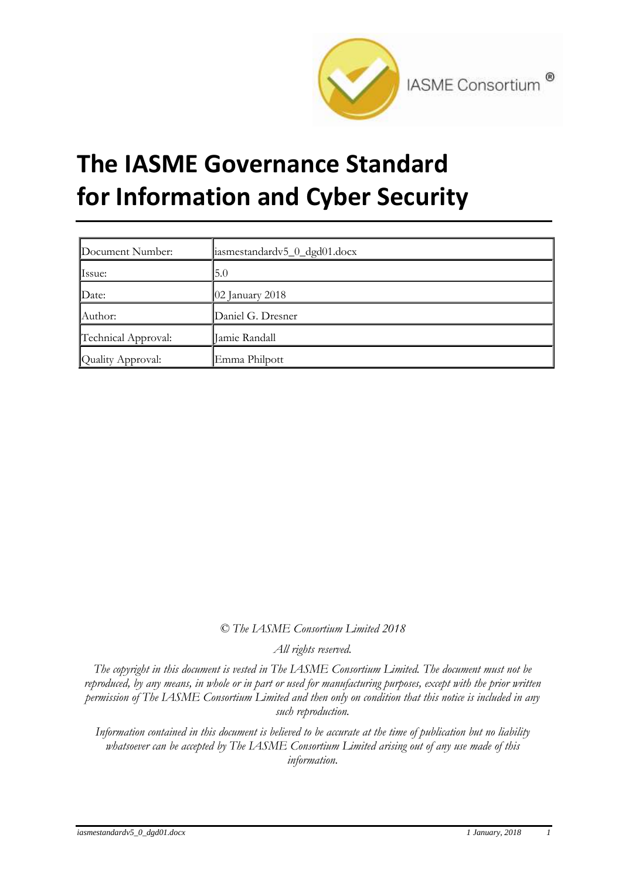

# **The IASME Governance Standard for Information and Cyber Security**

| Document Number:    | iasmestandardv5_0_dgd01.docx |
|---------------------|------------------------------|
| Issue:              | 5.0                          |
| Date:               | $\vert$ 02 January 2018      |
| Author:             | Daniel G. Dresner            |
| Technical Approval: | Jamie Randall                |
| Quality Approval:   | Emma Philpott                |

*© The IASME Consortium Limited 2018*

*All rights reserved.*

*The copyright in this document is vested in The IASME Consortium Limited. The document must not be reproduced, by any means, in whole or in part or used for manufacturing purposes, except with the prior written permission of The IASME Consortium Limited and then only on condition that this notice is included in any such reproduction.*

*Information contained in this document is believed to be accurate at the time of publication but no liability whatsoever can be accepted by The IASME Consortium Limited arising out of any use made of this information.*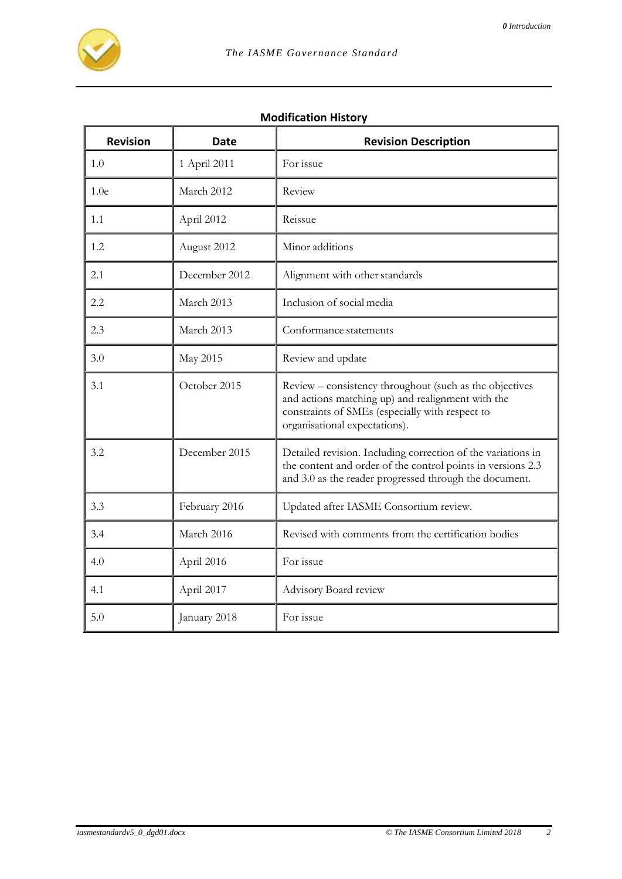

### **Modification History**

| <b>Revision</b>  | <b>Date</b>   | <b>Revision Description</b>                                                                                                                                                                      |
|------------------|---------------|--------------------------------------------------------------------------------------------------------------------------------------------------------------------------------------------------|
| 1.0              | 1 April 2011  | For issue                                                                                                                                                                                        |
| 1.0 <sub>e</sub> | March 2012    | Review                                                                                                                                                                                           |
| 1.1              | April 2012    | Reissue                                                                                                                                                                                          |
| 1.2              | August 2012   | Minor additions                                                                                                                                                                                  |
| 2.1              | December 2012 | Alignment with other standards                                                                                                                                                                   |
| 2.2              | March 2013    | Inclusion of social media                                                                                                                                                                        |
| 2.3              | March 2013    | Conformance statements                                                                                                                                                                           |
| 3.0              | May 2015      | Review and update                                                                                                                                                                                |
| 3.1              | October 2015  | Review - consistency throughout (such as the objectives<br>and actions matching up) and realignment with the<br>constraints of SMEs (especially with respect to<br>organisational expectations). |
| 3.2              | December 2015 | Detailed revision. Including correction of the variations in<br>the content and order of the control points in versions 2.3<br>and 3.0 as the reader progressed through the document.            |
| 3.3              | February 2016 | Updated after IASME Consortium review.                                                                                                                                                           |
| 3.4              | March 2016    | Revised with comments from the certification bodies                                                                                                                                              |
| 4.0              | April 2016    | For issue                                                                                                                                                                                        |
| 4.1              | April 2017    | Advisory Board review                                                                                                                                                                            |
| 5.0              | January 2018  | For issue                                                                                                                                                                                        |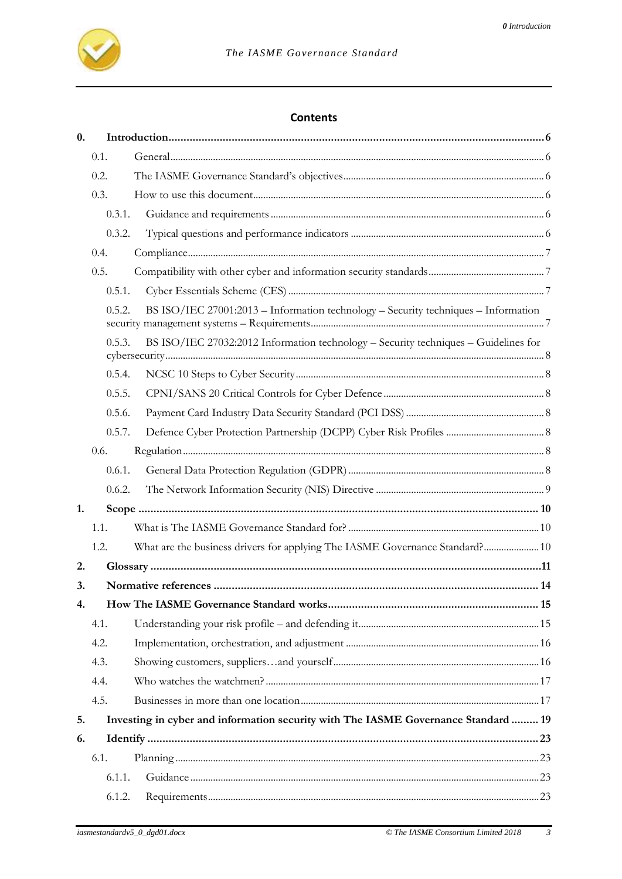#### **Contents**

| $\mathbf{0}$ . |        |                                                                                     |  |
|----------------|--------|-------------------------------------------------------------------------------------|--|
|                | 0.1.   |                                                                                     |  |
|                | 0.2.   |                                                                                     |  |
|                | 0.3.   |                                                                                     |  |
|                | 0.3.1. |                                                                                     |  |
|                | 0.3.2. |                                                                                     |  |
|                | 0.4.   |                                                                                     |  |
|                | 0.5.   |                                                                                     |  |
|                | 0.5.1. |                                                                                     |  |
|                | 0.5.2. | BS ISO/IEC 27001:2013 - Information technology - Security techniques - Information  |  |
|                | 0.5.3. | BS ISO/IEC 27032:2012 Information technology – Security techniques – Guidelines for |  |
|                | 0.5.4. |                                                                                     |  |
|                | 0.5.5. |                                                                                     |  |
|                | 0.5.6. |                                                                                     |  |
|                | 0.5.7. |                                                                                     |  |
|                | 0.6.   |                                                                                     |  |
|                | 0.6.1. |                                                                                     |  |
|                | 0.6.2. |                                                                                     |  |
| 1.             |        |                                                                                     |  |
|                | 1.1.   |                                                                                     |  |
|                | 1.2.   | What are the business drivers for applying The IASME Governance Standard? 10        |  |
| 2.             |        |                                                                                     |  |
| 3.             |        |                                                                                     |  |
| 4.             |        |                                                                                     |  |
|                | 4.1.   |                                                                                     |  |
|                | 4.2.   |                                                                                     |  |
|                | 4.3.   |                                                                                     |  |
|                | 4.4.   |                                                                                     |  |
|                | 4.5.   |                                                                                     |  |
| 5.             |        | Investing in cyber and information security with The IASME Governance Standard  19  |  |
| 6.             |        |                                                                                     |  |
|                | 6.1.   |                                                                                     |  |
|                | 6.1.1. |                                                                                     |  |
|                | 6.1.2. |                                                                                     |  |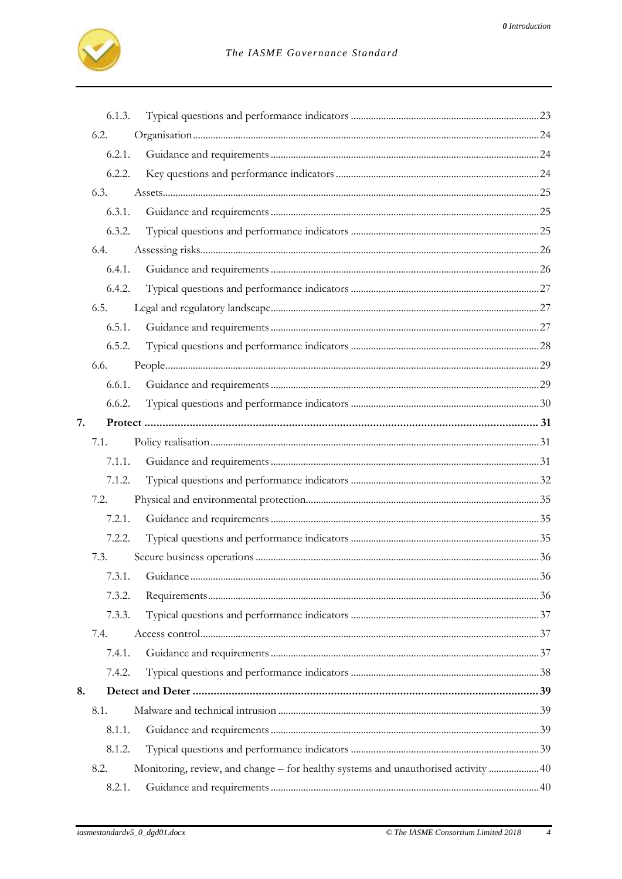

|    | 6.1.3. |                                                                                    |  |
|----|--------|------------------------------------------------------------------------------------|--|
|    | 6.2.   |                                                                                    |  |
|    | 6.2.1. |                                                                                    |  |
|    | 6.2.2. |                                                                                    |  |
|    | 6.3.   |                                                                                    |  |
|    | 6.3.1. |                                                                                    |  |
|    | 6.3.2. |                                                                                    |  |
|    | 6.4.   |                                                                                    |  |
|    | 6.4.1. |                                                                                    |  |
|    | 6.4.2. |                                                                                    |  |
|    | 6.5.   |                                                                                    |  |
|    | 6.5.1. |                                                                                    |  |
|    | 6.5.2. |                                                                                    |  |
|    | 6.6.   |                                                                                    |  |
|    | 6.6.1. |                                                                                    |  |
|    | 6.6.2. |                                                                                    |  |
| 7. |        |                                                                                    |  |
|    | 7.1.   |                                                                                    |  |
|    | 7.1.1. |                                                                                    |  |
|    | 7.1.2. |                                                                                    |  |
|    | 7.2.   |                                                                                    |  |
|    | 7.2.1. |                                                                                    |  |
|    | 7.2.2. |                                                                                    |  |
|    | 7.3.   |                                                                                    |  |
|    | 7.3.1. |                                                                                    |  |
|    | 7.3.2. |                                                                                    |  |
|    | 7.3.3. |                                                                                    |  |
|    | 7.4.   |                                                                                    |  |
|    | 7.4.1. |                                                                                    |  |
|    | 7.4.2. |                                                                                    |  |
| 8. |        |                                                                                    |  |
|    | 8.1.   |                                                                                    |  |
|    | 8.1.1. |                                                                                    |  |
|    | 8.1.2. |                                                                                    |  |
|    | 8.2.   | Monitoring, review, and change – for healthy systems and unauthorised activity  40 |  |
|    | 8.2.1. |                                                                                    |  |

 $\overline{4}$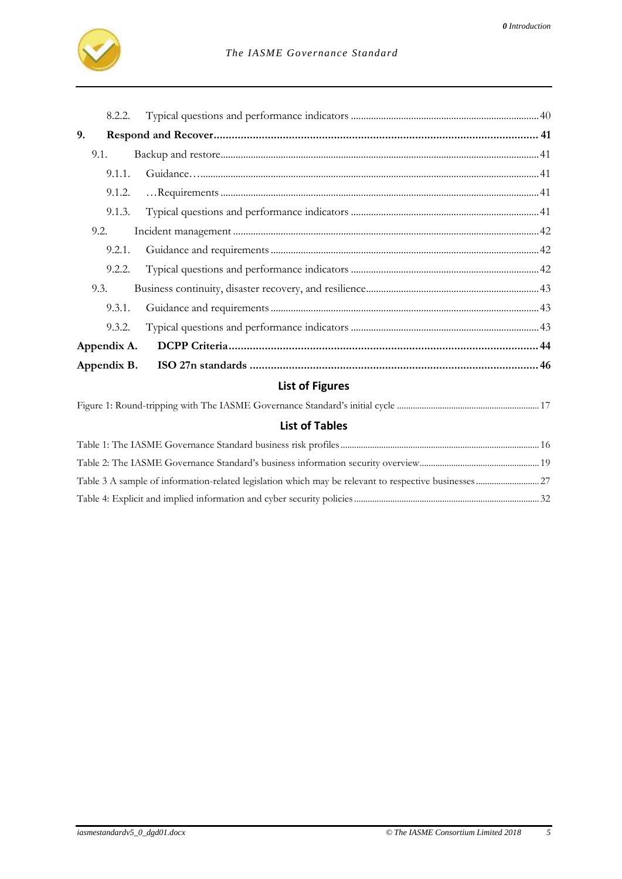

|             | 8.2.2. |                        |  |
|-------------|--------|------------------------|--|
| 9.          |        |                        |  |
| 9.1.        |        |                        |  |
|             | 9.1.1. |                        |  |
|             | 9.1.2. |                        |  |
|             | 9.1.3. |                        |  |
| 9.2.        |        |                        |  |
|             | 9.2.1. |                        |  |
|             | 9.2.2. |                        |  |
| 9.3.        |        |                        |  |
|             | 9.3.1. |                        |  |
|             | 9.3.2. |                        |  |
| Appendix A. |        |                        |  |
| Appendix B. |        |                        |  |
|             |        | <b>List of Figures</b> |  |
|             |        |                        |  |

# **List of Tables**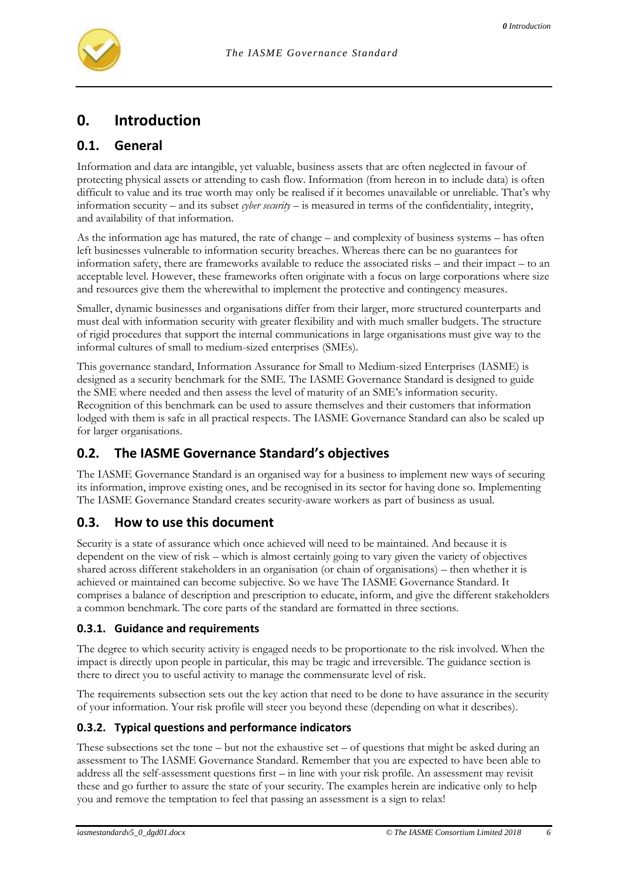

# **0. Introduction**

# **0.1. General**

Information and data are intangible, yet valuable, business assets that are often neglected in favour of protecting physical assets or attending to cash flow. Information (from hereon in to include data) is often difficult to value and its true worth may only be realised if it becomes unavailable or unreliable. That's why information security – and its subset *cyber security* – is measured in terms of the confidentiality, integrity, and availability of that information.

As the information age has matured, the rate of change – and complexity of business systems – has often left businesses vulnerable to information security breaches. Whereas there can be no guarantees for information safety, there are frameworks available to reduce the associated risks – and their impact – to an acceptable level. However, these frameworks often originate with a focus on large corporations where size and resources give them the wherewithal to implement the protective and contingency measures.

Smaller, dynamic businesses and organisations differ from their larger, more structured counterparts and must deal with information security with greater flexibility and with much smaller budgets. The structure of rigid procedures that support the internal communications in large organisations must give way to the informal cultures of small to medium-sized enterprises (SMEs).

This governance standard, Information Assurance for Small to Medium-sized Enterprises (IASME) is designed as a security benchmark for the SME. The IASME Governance Standard is designed to guide the SME where needed and then assess the level of maturity of an SME's information security. Recognition of this benchmark can be used to assure themselves and their customers that information lodged with them is safe in all practical respects. The IASME Governance Standard can also be scaled up for larger organisations.

# **0.2. The IASME Governance Standard's objectives**

The IASME Governance Standard is an organised way for a business to implement new ways of securing its information, improve existing ones, and be recognised in its sector for having done so. Implementing The IASME Governance Standard creates security-aware workers as part of business as usual.

# **0.3. How to use this document**

Security is a state of assurance which once achieved will need to be maintained. And because it is dependent on the view of risk – which is almost certainly going to vary given the variety of objectives shared across different stakeholders in an organisation (or chain of organisations) – then whether it is achieved or maintained can become subjective. So we have The IASME Governance Standard. It comprises a balance of description and prescription to educate, inform, and give the different stakeholders a common benchmark. The core parts of the standard are formatted in three sections.

#### **0.3.1. Guidance and requirements**

The degree to which security activity is engaged needs to be proportionate to the risk involved. When the impact is directly upon people in particular, this may be tragic and irreversible. The guidance section is there to direct you to useful activity to manage the commensurate level of risk.

The requirements subsection sets out the key action that need to be done to have assurance in the security of your information. Your risk profile will steer you beyond these (depending on what it describes).

#### **0.3.2. Typical questions and performance indicators**

These subsections set the tone – but not the exhaustive set – of questions that might be asked during an assessment to The IASME Governance Standard. Remember that you are expected to have been able to address all the self-assessment questions first – in line with your risk profile. An assessment may revisit these and go further to assure the state of your security. The examples herein are indicative only to help you and remove the temptation to feel that passing an assessment is a sign to relax!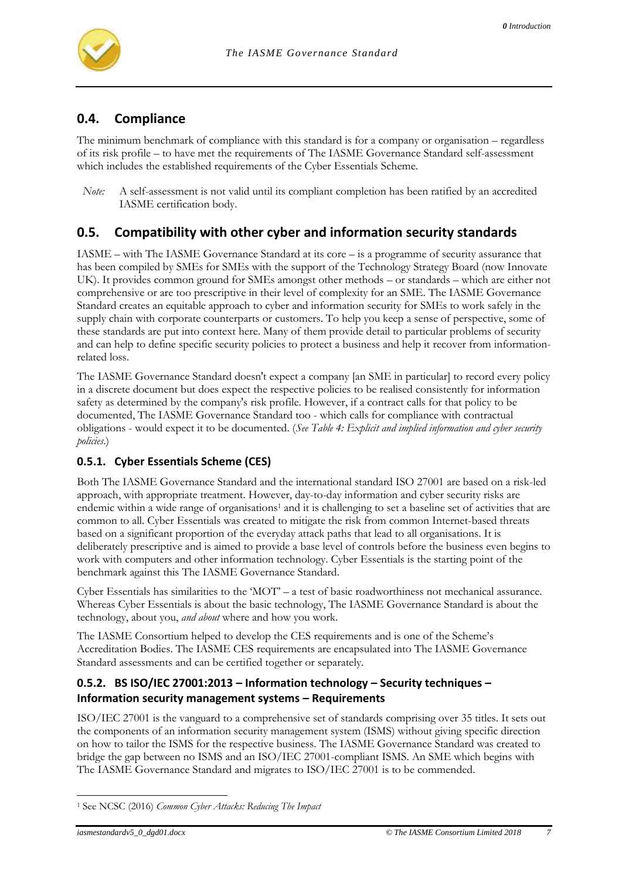

# **0.4. Compliance**

The minimum benchmark of compliance with this standard is for a company or organisation – regardless of its risk profile – to have met the requirements of The IASME Governance Standard self-assessment which includes the established requirements of the Cyber Essentials Scheme.

# **0.5. Compatibility with other cyber and information security standards**

IASME – with The IASME Governance Standard at its core – is a programme of security assurance that has been compiled by SMEs for SMEs with the support of the Technology Strategy Board (now Innovate UK). It provides common ground for SMEs amongst other methods – or standards – which are either not comprehensive or are too prescriptive in their level of complexity for an SME. The IASME Governance Standard creates an equitable approach to cyber and information security for SMEs to work safely in the supply chain with corporate counterparts or customers. To help you keep a sense of perspective, some of these standards are put into context here. Many of them provide detail to particular problems of security and can help to define specific security policies to protect a business and help it recover from informationrelated loss.

The IASME Governance Standard doesn't expect a company [an SME in particular] to record every policy in a discrete document but does expect the respective policies to be realised consistently for information safety as determined by the company's risk profile. However, if a contract calls for that policy to be documented, The IASME Governance Standard too - which calls for compliance with contractual obligations - would expect it to be documented. (*See [Table 4: Explicit and implied information and cyber security](#page-31-0)  [policies](#page-31-0)*.)

#### **0.5.1. Cyber Essentials Scheme (CES)**

Both The IASME Governance Standard and the international standard ISO 27001 are based on a risk-led approach, with appropriate treatment. However, day-to-day information and cyber security risks are endemic within a wide range of organisations<sup>1</sup> and it is challenging to set a baseline set of activities that are common to all. Cyber Essentials was created to mitigate the risk from common Internet-based threats based on a significant proportion of the everyday attack paths that lead to all organisations. It is deliberately prescriptive and is aimed to provide a base level of controls before the business even begins to work with computers and other information technology. Cyber Essentials is the starting point of the benchmark against this The IASME Governance Standard.

Cyber Essentials has similarities to the 'MOT' – a test of basic roadworthiness not mechanical assurance. Whereas Cyber Essentials is about the basic technology, The IASME Governance Standard is about the technology, about you, *and about* where and how you work.

The IASME Consortium helped to develop the CES requirements and is one of the Scheme's Accreditation Bodies. The IASME CES requirements are encapsulated into The IASME Governance Standard assessments and can be certified together or separately.

#### **0.5.2. BS ISO/IEC 27001:2013 – Information technology – Security techniques – Information security management systems – Requirements**

ISO/IEC 27001 is the vanguard to a comprehensive set of standards comprising over 35 titles. It sets out the components of an information security management system (ISMS) without giving specific direction on how to tailor the ISMS for the respective business. The IASME Governance Standard was created to bridge the gap between no ISMS and an ISO/IEC 27001-compliant ISMS. An SME which begins with The IASME Governance Standard and migrates to ISO/IEC 27001 is to be commended.

*Note:* A self-assessment is not valid until its compliant completion has been ratified by an accredited IASME certification body.

l <sup>1</sup> See NCSC (2016) *Common Cyber Attacks: Reducing The Impact*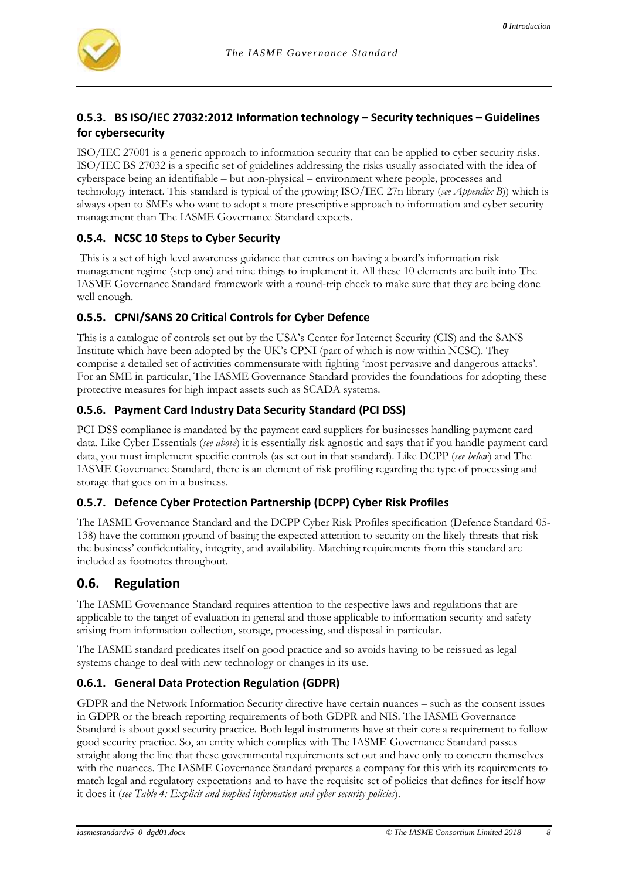# **0.5.3. BS ISO/IEC 27032:2012 Information technology – Security techniques – Guidelines for cybersecurity**

ISO/IEC 27001 is a generic approach to information security that can be applied to cyber security risks. ISO/IEC BS 27032 is a specific set of guidelines addressing the risks usually associated with the idea of cyberspace being an identifiable – but non-physical – environment where people, processes and technology interact. This standard is typical of the growing ISO/IEC 27n library (*see [Appendix B](#page-45-0)*)) which is always open to SMEs who want to adopt a more prescriptive approach to information and cyber security management than The IASME Governance Standard expects.

### **0.5.4. NCSC 10 Steps to Cyber Security**

This is a set of high level awareness guidance that centres on having a board's information risk management regime (step one) and nine things to implement it. All these 10 elements are built into The IASME Governance Standard framework with a round-trip check to make sure that they are being done well enough.

### **0.5.5. CPNI/SANS 20 Critical Controls for Cyber Defence**

This is a catalogue of controls set out by the USA's Center for Internet Security (CIS) and the SANS Institute which have been adopted by the UK's CPNI (part of which is now within NCSC). They comprise a detailed set of activities commensurate with fighting 'most pervasive and dangerous attacks'. For an SME in particular, The IASME Governance Standard provides the foundations for adopting these protective measures for high impact assets such as SCADA systems.

### **0.5.6. Payment Card Industry Data Security Standard (PCI DSS)**

PCI DSS compliance is mandated by the payment card suppliers for businesses handling payment card data. Like Cyber Essentials (*see above*) it is essentially risk agnostic and says that if you handle payment card data, you must implement specific controls (as set out in that standard). Like DCPP (*see below*) and The IASME Governance Standard, there is an element of risk profiling regarding the type of processing and storage that goes on in a business.

# **0.5.7. Defence Cyber Protection Partnership (DCPP) Cyber Risk Profiles**

The IASME Governance Standard and the DCPP Cyber Risk Profiles specification (Defence Standard 05- 138) have the common ground of basing the expected attention to security on the likely threats that risk the business' confidentiality, integrity, and availability. Matching requirements from this standard are included as footnotes throughout.

# **0.6. Regulation**

The IASME Governance Standard requires attention to the respective laws and regulations that are applicable to the target of evaluation in general and those applicable to information security and safety arising from information collection, storage, processing, and disposal in particular.

The IASME standard predicates itself on good practice and so avoids having to be reissued as legal systems change to deal with new technology or changes in its use.

# **0.6.1. General Data Protection Regulation (GDPR)**

GDPR and the Network Information Security directive have certain nuances – such as the consent issues in GDPR or the breach reporting requirements of both GDPR and NIS. The IASME Governance Standard is about good security practice. Both legal instruments have at their core a requirement to follow good security practice. So, an entity which complies with The IASME Governance Standard passes straight along the line that these governmental requirements set out and have only to concern themselves with the nuances. The IASME Governance Standard prepares a company for this with its requirements to match legal and regulatory expectations and to have the requisite set of policies that defines for itself how it does it (*se[e Table 4: Explicit and implied information and cyber security policies](#page-31-0)*).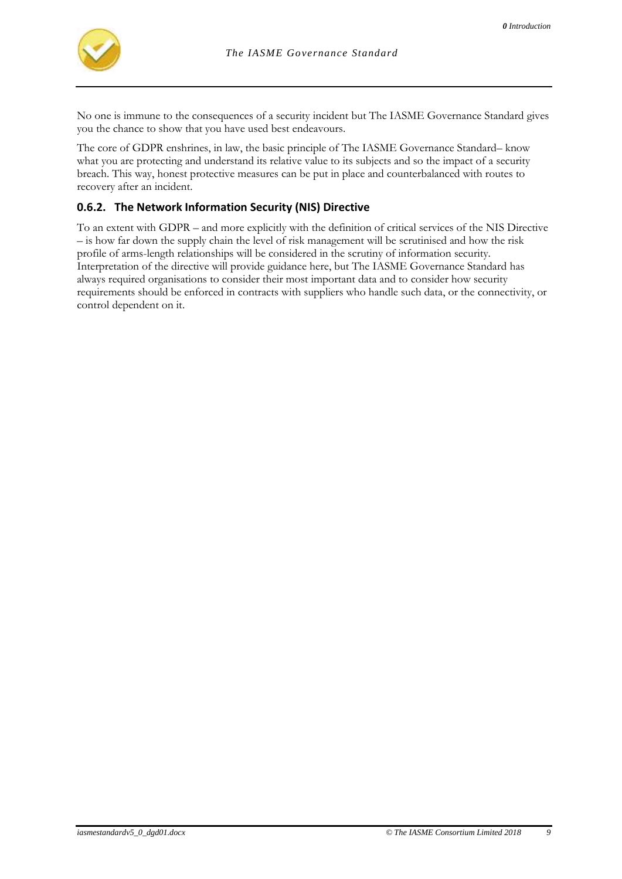

No one is immune to the consequences of a security incident but The IASME Governance Standard gives you the chance to show that you have used best endeavours.

The core of GDPR enshrines, in law, the basic principle of The IASME Governance Standard– know what you are protecting and understand its relative value to its subjects and so the impact of a security breach. This way, honest protective measures can be put in place and counterbalanced with routes to recovery after an incident.

### **0.6.2. The Network Information Security (NIS) Directive**

To an extent with GDPR – and more explicitly with the definition of critical services of the NIS Directive – is how far down the supply chain the level of risk management will be scrutinised and how the risk profile of arms-length relationships will be considered in the scrutiny of information security. Interpretation of the directive will provide guidance here, but The IASME Governance Standard has always required organisations to consider their most important data and to consider how security requirements should be enforced in contracts with suppliers who handle such data, or the connectivity, or control dependent on it.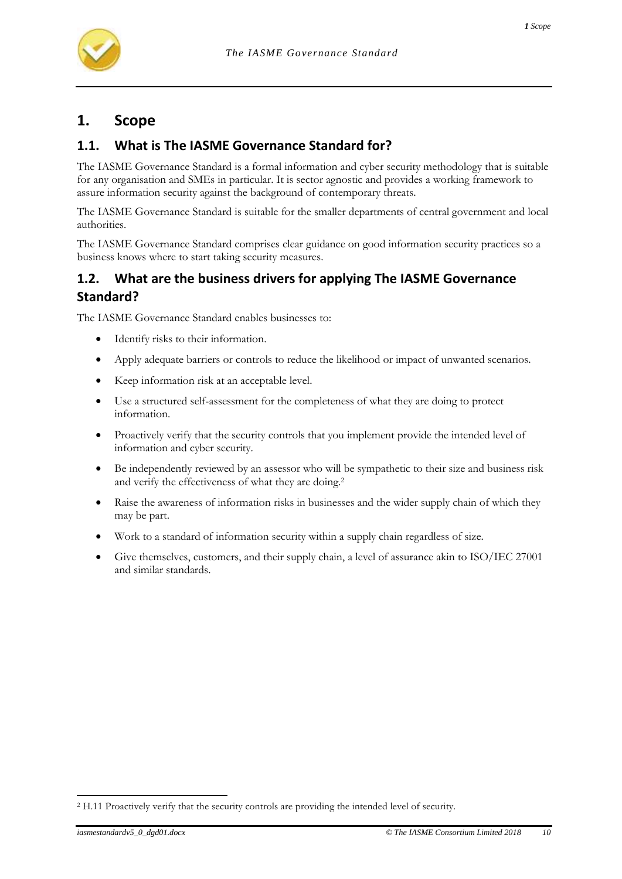

# **1. Scope**

# **1.1. What is The IASME Governance Standard for?**

The IASME Governance Standard is a formal information and cyber security methodology that is suitable for any organisation and SMEs in particular. It is sector agnostic and provides a working framework to assure information security against the background of contemporary threats.

The IASME Governance Standard is suitable for the smaller departments of central government and local authorities.

The IASME Governance Standard comprises clear guidance on good information security practices so a business knows where to start taking security measures.

# **1.2. What are the business drivers for applying The IASME Governance Standard?**

The IASME Governance Standard enables businesses to:

- Identify risks to their information.
- Apply adequate barriers or controls to reduce the likelihood or impact of unwanted scenarios.
- Keep information risk at an acceptable level.
- Use a structured self-assessment for the completeness of what they are doing to protect information.
- Proactively verify that the security controls that you implement provide the intended level of information and cyber security.
- Be independently reviewed by an assessor who will be sympathetic to their size and business risk and verify the effectiveness of what they are doing.<sup>2</sup>
- Raise the awareness of information risks in businesses and the wider supply chain of which they may be part.
- Work to a standard of information security within a supply chain regardless of size.
- Give themselves, customers, and their supply chain, a level of assurance akin to ISO/IEC 27001 and similar standards.

<sup>2</sup> H.11 Proactively verify that the security controls are providing the intended level of security.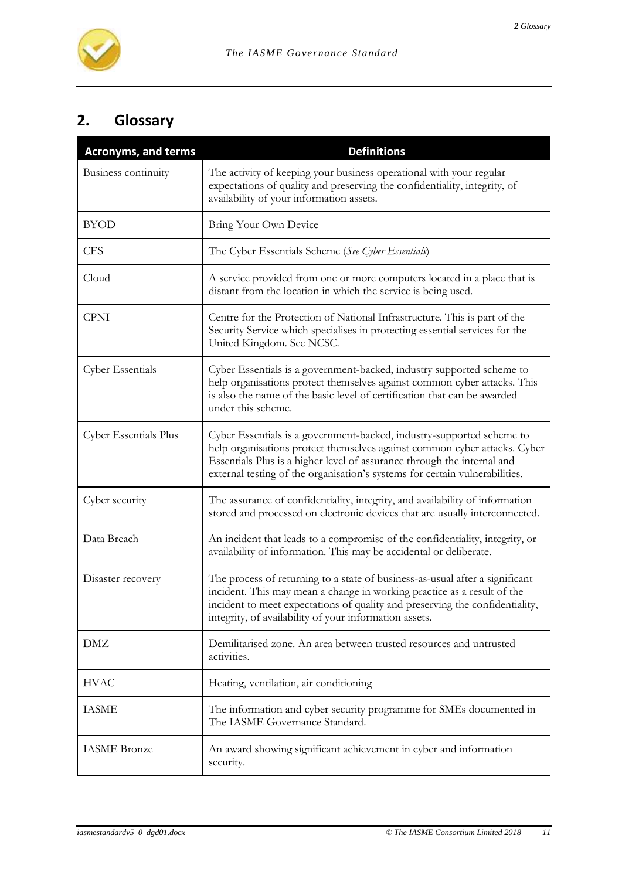

# **2. Glossary**

| <b>Acronyms, and terms</b> | <b>Definitions</b>                                                                                                                                                                                                                                                                                           |
|----------------------------|--------------------------------------------------------------------------------------------------------------------------------------------------------------------------------------------------------------------------------------------------------------------------------------------------------------|
| Business continuity        | The activity of keeping your business operational with your regular<br>expectations of quality and preserving the confidentiality, integrity, of<br>availability of your information assets.                                                                                                                 |
| <b>BYOD</b>                | Bring Your Own Device                                                                                                                                                                                                                                                                                        |
| <b>CES</b>                 | The Cyber Essentials Scheme (See Cyber Essentials)                                                                                                                                                                                                                                                           |
| Cloud                      | A service provided from one or more computers located in a place that is<br>distant from the location in which the service is being used.                                                                                                                                                                    |
| <b>CPNI</b>                | Centre for the Protection of National Infrastructure. This is part of the<br>Security Service which specialises in protecting essential services for the<br>United Kingdom. See NCSC.                                                                                                                        |
| <b>Cyber Essentials</b>    | Cyber Essentials is a government-backed, industry supported scheme to<br>help organisations protect themselves against common cyber attacks. This<br>is also the name of the basic level of certification that can be awarded<br>under this scheme.                                                          |
| Cyber Essentials Plus      | Cyber Essentials is a government-backed, industry-supported scheme to<br>help organisations protect themselves against common cyber attacks. Cyber<br>Essentials Plus is a higher level of assurance through the internal and<br>external testing of the organisation's systems for certain vulnerabilities. |
| Cyber security             | The assurance of confidentiality, integrity, and availability of information<br>stored and processed on electronic devices that are usually interconnected.                                                                                                                                                  |
| Data Breach                | An incident that leads to a compromise of the confidentiality, integrity, or<br>availability of information. This may be accidental or deliberate.                                                                                                                                                           |
| Disaster recovery          | The process of returning to a state of business-as-usual after a significant<br>incident. This may mean a change in working practice as a result of the<br>incident to meet expectations of quality and preserving the confidentiality,<br>integrity, of availability of your information assets.            |
| <b>DMZ</b>                 | Demilitarised zone. An area between trusted resources and untrusted<br>activities.                                                                                                                                                                                                                           |
| <b>HVAC</b>                | Heating, ventilation, air conditioning                                                                                                                                                                                                                                                                       |
| <b>IASME</b>               | The information and cyber security programme for SMEs documented in<br>The IASME Governance Standard.                                                                                                                                                                                                        |
| <b>IASME</b> Bronze        | An award showing significant achievement in cyber and information<br>security.                                                                                                                                                                                                                               |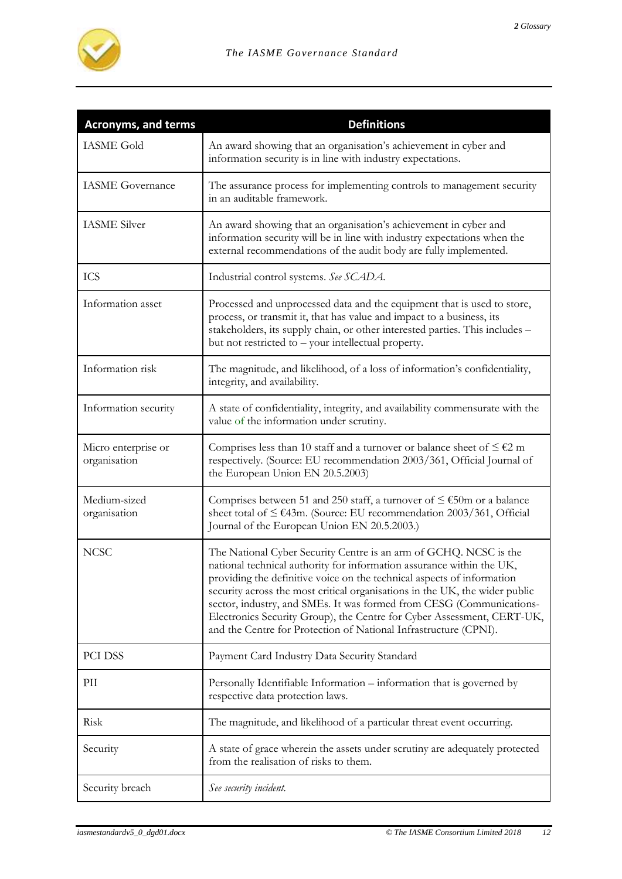

| <b>Acronyms, and terms</b>          | <b>Definitions</b>                                                                                                                                                                                                                                                                                                                                                                                                                                                                                                        |
|-------------------------------------|---------------------------------------------------------------------------------------------------------------------------------------------------------------------------------------------------------------------------------------------------------------------------------------------------------------------------------------------------------------------------------------------------------------------------------------------------------------------------------------------------------------------------|
| <b>IASME Gold</b>                   | An award showing that an organisation's achievement in cyber and<br>information security is in line with industry expectations.                                                                                                                                                                                                                                                                                                                                                                                           |
| <b>IASME</b> Governance             | The assurance process for implementing controls to management security<br>in an auditable framework.                                                                                                                                                                                                                                                                                                                                                                                                                      |
| <b>IASME</b> Silver                 | An award showing that an organisation's achievement in cyber and<br>information security will be in line with industry expectations when the<br>external recommendations of the audit body are fully implemented.                                                                                                                                                                                                                                                                                                         |
| <b>ICS</b>                          | Industrial control systems. See SCADA.                                                                                                                                                                                                                                                                                                                                                                                                                                                                                    |
| Information asset                   | Processed and unprocessed data and the equipment that is used to store,<br>process, or transmit it, that has value and impact to a business, its<br>stakeholders, its supply chain, or other interested parties. This includes -<br>but not restricted to - your intellectual property.                                                                                                                                                                                                                                   |
| Information risk                    | The magnitude, and likelihood, of a loss of information's confidentiality,<br>integrity, and availability.                                                                                                                                                                                                                                                                                                                                                                                                                |
| Information security                | A state of confidentiality, integrity, and availability commensurate with the<br>value of the information under scrutiny.                                                                                                                                                                                                                                                                                                                                                                                                 |
| Micro enterprise or<br>organisation | Comprises less than 10 staff and a turnover or balance sheet of $\leq \epsilon$ 2 m<br>respectively. (Source: EU recommendation 2003/361, Official Journal of<br>the European Union EN 20.5.2003)                                                                                                                                                                                                                                                                                                                         |
| Medium-sized<br>organisation        | Comprises between 51 and 250 staff, a turnover of $\leq \text{\textsterling}50m$ or a balance<br>sheet total of ≤ €43m. (Source: EU recommendation 2003/361, Official<br>Journal of the European Union EN 20.5.2003.)                                                                                                                                                                                                                                                                                                     |
| <b>NCSC</b>                         | The National Cyber Security Centre is an arm of GCHQ. NCSC is the<br>national technical authority for information assurance within the UK,<br>providing the definitive voice on the technical aspects of information<br>security across the most critical organisations in the UK, the wider public<br>sector, industry, and SMEs. It was formed from CESG (Communications-<br>Electronics Security Group), the Centre for Cyber Assessment, CERT-UK,<br>and the Centre for Protection of National Infrastructure (CPNI). |
| PCI DSS                             | Payment Card Industry Data Security Standard                                                                                                                                                                                                                                                                                                                                                                                                                                                                              |
| PII                                 | Personally Identifiable Information - information that is governed by<br>respective data protection laws.                                                                                                                                                                                                                                                                                                                                                                                                                 |
| Risk                                | The magnitude, and likelihood of a particular threat event occurring.                                                                                                                                                                                                                                                                                                                                                                                                                                                     |
| Security                            | A state of grace wherein the assets under scrutiny are adequately protected<br>from the realisation of risks to them.                                                                                                                                                                                                                                                                                                                                                                                                     |
| Security breach                     | See security incident.                                                                                                                                                                                                                                                                                                                                                                                                                                                                                                    |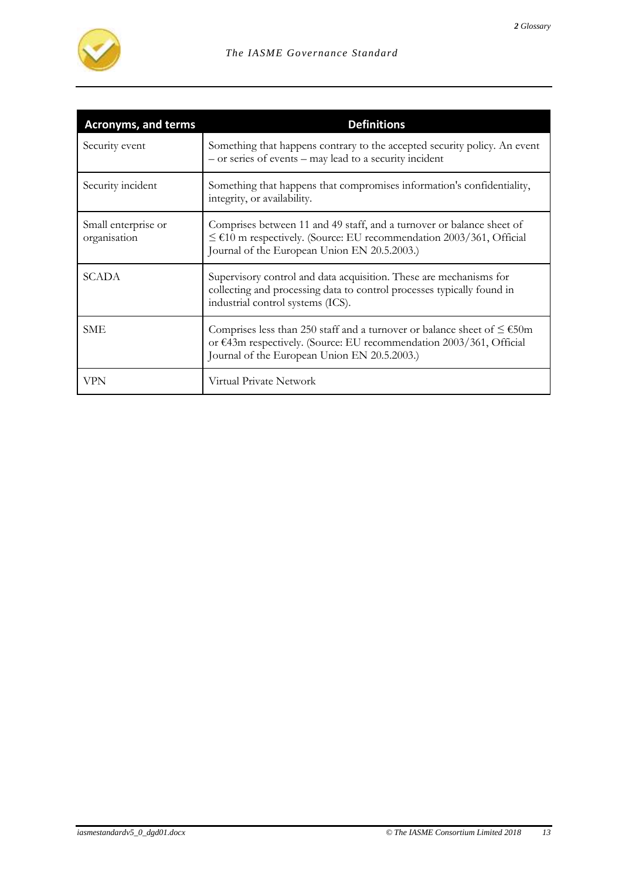

| <b>Acronyms, and terms</b>          | <b>Definitions</b>                                                                                                                                                                                  |
|-------------------------------------|-----------------------------------------------------------------------------------------------------------------------------------------------------------------------------------------------------|
| Security event                      | Something that happens contrary to the accepted security policy. An event<br>- or series of events - may lead to a security incident                                                                |
| Security incident                   | Something that happens that compromises information's confidentiality,<br>integrity, or availability.                                                                                               |
| Small enterprise or<br>organisation | Comprises between 11 and 49 staff, and a turnover or balance sheet of<br>$≤$ €10 m respectively. (Source: EU recommendation 2003/361, Official<br>Journal of the European Union EN 20.5.2003.)      |
| <b>SCADA</b>                        | Supervisory control and data acquisition. These are mechanisms for<br>collecting and processing data to control processes typically found in<br>industrial control systems (ICS).                   |
| <b>SME</b>                          | Comprises less than 250 staff and a turnover or balance sheet of $\leq$ €50m<br>or €43m respectively. (Source: EU recommendation 2003/361, Official<br>Journal of the European Union EN 20.5.2003.) |
| VPN                                 | Virtual Private Network                                                                                                                                                                             |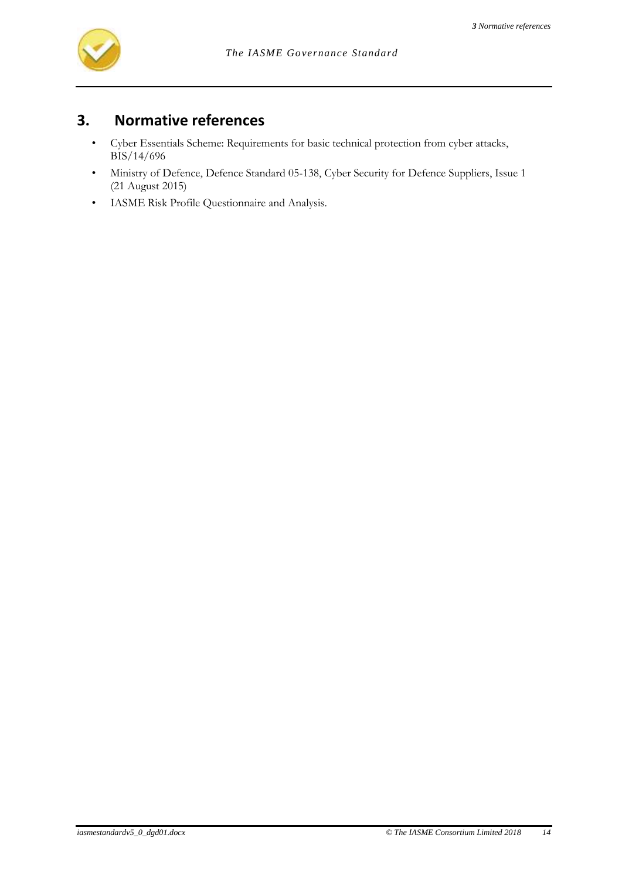

# **3. Normative references**

- Cyber Essentials Scheme: Requirements for basic technical protection from cyber attacks, BIS/14/696
- Ministry of Defence, Defence Standard 05-138, Cyber Security for Defence Suppliers, Issue 1 (21 August 2015)
- IASME Risk Profile Questionnaire and Analysis.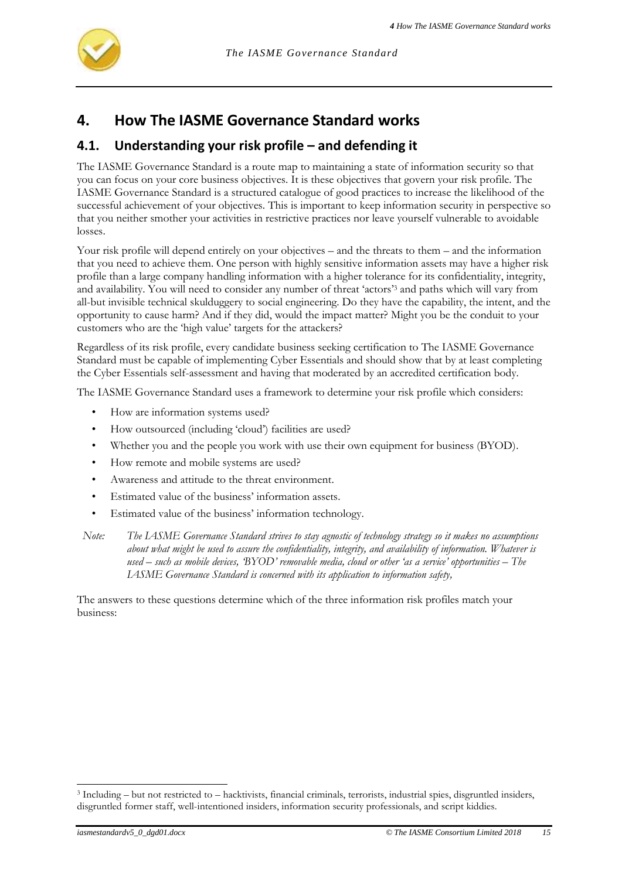

# **4. How The IASME Governance Standard works**

# **4.1. Understanding your risk profile – and defending it**

The IASME Governance Standard is a route map to maintaining a state of information security so that you can focus on your core business objectives. It is these objectives that govern your risk profile. The IASME Governance Standard is a structured catalogue of good practices to increase the likelihood of the successful achievement of your objectives. This is important to keep information security in perspective so that you neither smother your activities in restrictive practices nor leave yourself vulnerable to avoidable losses.

Your risk profile will depend entirely on your objectives – and the threats to them – and the information that you need to achieve them. One person with highly sensitive information assets may have a higher risk profile than a large company handling information with a higher tolerance for its confidentiality, integrity, and availability. You will need to consider any number of threat 'actors'<sup>3</sup> and paths which will vary from all-but invisible technical skulduggery to social engineering. Do they have the capability, the intent, and the opportunity to cause harm? And if they did, would the impact matter? Might you be the conduit to your customers who are the 'high value' targets for the attackers?

Regardless of its risk profile, every candidate business seeking certification to The IASME Governance Standard must be capable of implementing Cyber Essentials and should show that by at least completing the Cyber Essentials self-assessment and having that moderated by an accredited certification body.

The IASME Governance Standard uses a framework to determine your risk profile which considers:

- How are information systems used?
- How outsourced (including 'cloud') facilities are used?
- Whether you and the people you work with use their own equipment for business (BYOD).
- How remote and mobile systems are used?
- Awareness and attitude to the threat environment.
- Estimated value of the business' information assets.
- Estimated value of the business' information technology.

*Note: The IASME Governance Standard strives to stay agnostic of technology strategy so it makes no assumptions about what might be used to assure the confidentiality, integrity, and availability of information. Whatever is used – such as mobile devices, 'BYOD' removable media, cloud or other 'as a service' opportunities – The IASME Governance Standard is concerned with its application to information safety,* 

The answers to these questions determine which of the three information risk profiles match your business:

<sup>3</sup> Including – but not restricted to – hacktivists, financial criminals, terrorists, industrial spies, disgruntled insiders, disgruntled former staff, well-intentioned insiders, information security professionals, and script kiddies.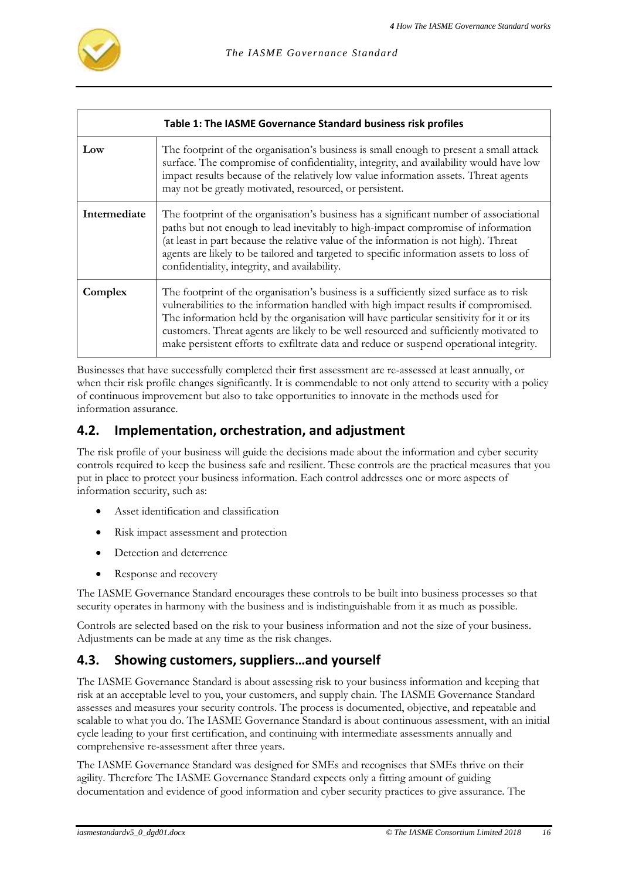

<span id="page-15-0"></span>

|              | Table 1: The IASME Governance Standard business risk profiles                                                                                                                                                                                                                                                                                                                                                                                                  |
|--------------|----------------------------------------------------------------------------------------------------------------------------------------------------------------------------------------------------------------------------------------------------------------------------------------------------------------------------------------------------------------------------------------------------------------------------------------------------------------|
| Low          | The footprint of the organisation's business is small enough to present a small attack<br>surface. The compromise of confidentiality, integrity, and availability would have low<br>impact results because of the relatively low value information assets. Threat agents<br>may not be greatly motivated, resourced, or persistent.                                                                                                                            |
| Intermediate | The footprint of the organisation's business has a significant number of associational<br>paths but not enough to lead inevitably to high-impact compromise of information<br>(at least in part because the relative value of the information is not high). Threat<br>agents are likely to be tailored and targeted to specific information assets to loss of<br>confidentiality, integrity, and availability.                                                 |
| Complex      | The footprint of the organisation's business is a sufficiently sized surface as to risk<br>vulnerabilities to the information handled with high impact results if compromised.<br>The information held by the organisation will have particular sensitivity for it or its<br>customers. Threat agents are likely to be well resourced and sufficiently motivated to<br>make persistent efforts to exfiltrate data and reduce or suspend operational integrity. |

Businesses that have successfully completed their first assessment are re-assessed at least annually, or when their risk profile changes significantly. It is commendable to not only attend to security with a policy of continuous improvement but also to take opportunities to innovate in the methods used for information assurance.

# **4.2. Implementation, orchestration, and adjustment**

The risk profile of your business will guide the decisions made about the information and cyber security controls required to keep the business safe and resilient. These controls are the practical measures that you put in place to protect your business information. Each control addresses one or more aspects of information security, such as:

- Asset identification and classification
- Risk impact assessment and protection
- Detection and deterrence
- Response and recovery

The IASME Governance Standard encourages these controls to be built into business processes so that security operates in harmony with the business and is indistinguishable from it as much as possible.

Controls are selected based on the risk to your business information and not the size of your business. Adjustments can be made at any time as the risk changes.

# **4.3. Showing customers, suppliers…and yourself**

The IASME Governance Standard is about assessing risk to your business information and keeping that risk at an acceptable level to you, your customers, and supply chain. The IASME Governance Standard assesses and measures your security controls. The process is documented, objective, and repeatable and scalable to what you do. The IASME Governance Standard is about continuous assessment, with an initial cycle leading to your first certification, and continuing with intermediate assessments annually and comprehensive re-assessment after three years.

The IASME Governance Standard was designed for SMEs and recognises that SMEs thrive on their agility. Therefore The IASME Governance Standard expects only a fitting amount of guiding documentation and evidence of good information and cyber security practices to give assurance. The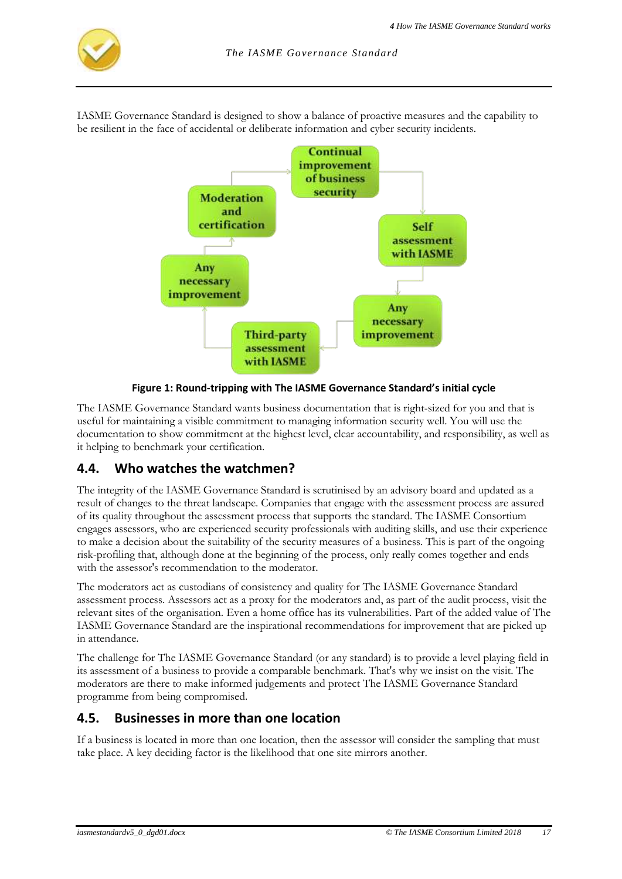

IASME Governance Standard is designed to show a balance of proactive measures and the capability to be resilient in the face of accidental or deliberate information and cyber security incidents.



**Figure 1: Round-tripping with The IASME Governance Standard's initial cycle**

<span id="page-16-0"></span>The IASME Governance Standard wants business documentation that is right-sized for you and that is useful for maintaining a visible commitment to managing information security well. You will use the documentation to show commitment at the highest level, clear accountability, and responsibility, as well as it helping to benchmark your certification.

# **4.4. Who watches the watchmen?**

The integrity of the IASME Governance Standard is scrutinised by an advisory board and updated as a result of changes to the threat landscape. Companies that engage with the assessment process are assured of its quality throughout the assessment process that supports the standard. The IASME Consortium engages assessors, who are experienced security professionals with auditing skills, and use their experience to make a decision about the suitability of the security measures of a business. This is part of the ongoing risk-profiling that, although done at the beginning of the process, only really comes together and ends with the assessor's recommendation to the moderator.

The moderators act as custodians of consistency and quality for The IASME Governance Standard assessment process. Assessors act as a proxy for the moderators and, as part of the audit process, visit the relevant sites of the organisation. Even a home office has its vulnerabilities. Part of the added value of The IASME Governance Standard are the inspirational recommendations for improvement that are picked up in attendance.

The challenge for The IASME Governance Standard (or any standard) is to provide a level playing field in its assessment of a business to provide a comparable benchmark. That's why we insist on the visit. The moderators are there to make informed judgements and protect The IASME Governance Standard programme from being compromised.

# **4.5. Businesses in more than one location**

If a business is located in more than one location, then the assessor will consider the sampling that must take place. A key deciding factor is the likelihood that one site mirrors another.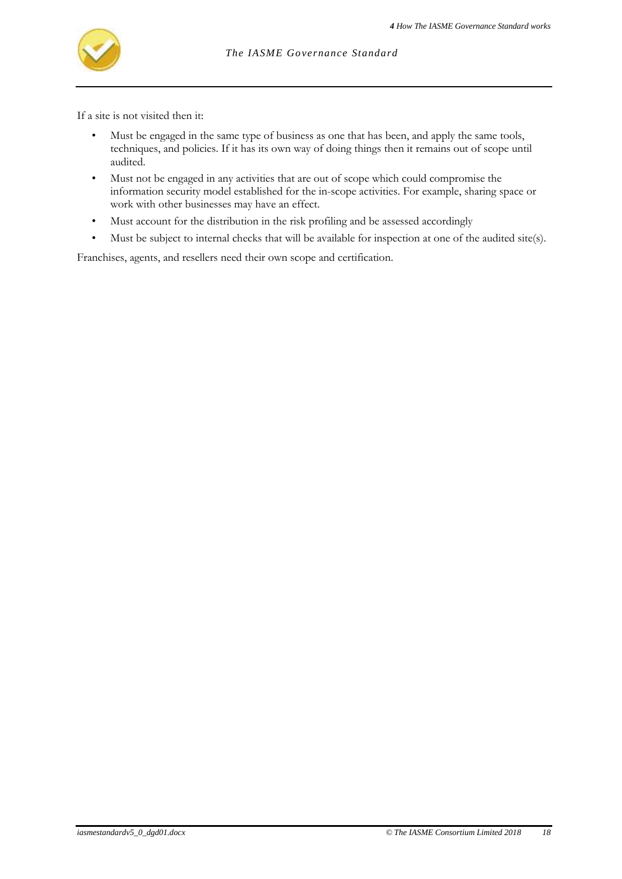

If a site is not visited then it:

- Must be engaged in the same type of business as one that has been, and apply the same tools, techniques, and policies. If it has its own way of doing things then it remains out of scope until audited.
- Must not be engaged in any activities that are out of scope which could compromise the information security model established for the in-scope activities. For example, sharing space or work with other businesses may have an effect.
- Must account for the distribution in the risk profiling and be assessed accordingly
- Must be subject to internal checks that will be available for inspection at one of the audited site(s).

Franchises, agents, and resellers need their own scope and certification.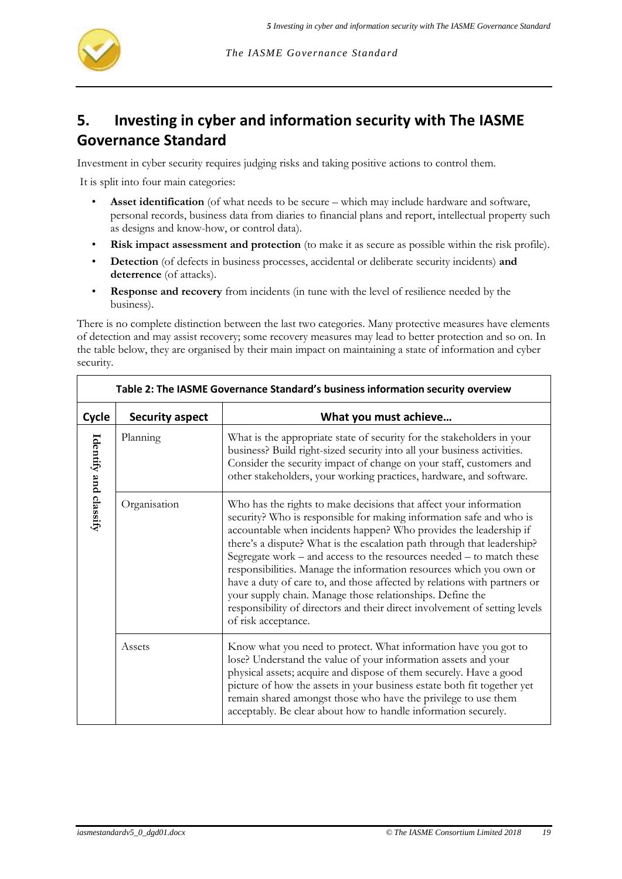

# **5. Investing in cyber and information security with The IASME Governance Standard**

Investment in cyber security requires judging risks and taking positive actions to control them.

It is split into four main categories:

- **Asset identification** (of what needs to be secure which may include hardware and software, personal records, business data from diaries to financial plans and report, intellectual property such as designs and know-how, or control data).
- **Risk impact assessment and protection** (to make it as secure as possible within the risk profile).
- **Detection** (of defects in business processes, accidental or deliberate security incidents) **and deterrence** (of attacks).
- **Response and recovery** from incidents (in tune with the level of resilience needed by the business).

There is no complete distinction between the last two categories. Many protective measures have elements of detection and may assist recovery; some recovery measures may lead to better protection and so on. In the table below, they are organised by their main impact on maintaining a state of information and cyber security.

<span id="page-18-0"></span>

| Table 2: The IASME Governance Standard's business information security overview |                        |                                                                                                                                                                                                                                                                                                                                                                                                                                                                                                                                                                                                                                                                                       |
|---------------------------------------------------------------------------------|------------------------|---------------------------------------------------------------------------------------------------------------------------------------------------------------------------------------------------------------------------------------------------------------------------------------------------------------------------------------------------------------------------------------------------------------------------------------------------------------------------------------------------------------------------------------------------------------------------------------------------------------------------------------------------------------------------------------|
| Cycle                                                                           | <b>Security aspect</b> | What you must achieve                                                                                                                                                                                                                                                                                                                                                                                                                                                                                                                                                                                                                                                                 |
| Identify and classify                                                           | Planning               | What is the appropriate state of security for the stakeholders in your<br>business? Build right-sized security into all your business activities.<br>Consider the security impact of change on your staff, customers and<br>other stakeholders, your working practices, hardware, and software.                                                                                                                                                                                                                                                                                                                                                                                       |
|                                                                                 | Organisation           | Who has the rights to make decisions that affect your information<br>security? Who is responsible for making information safe and who is<br>accountable when incidents happen? Who provides the leadership if<br>there's a dispute? What is the escalation path through that leadership?<br>Segregate work - and access to the resources needed - to match these<br>responsibilities. Manage the information resources which you own or<br>have a duty of care to, and those affected by relations with partners or<br>your supply chain. Manage those relationships. Define the<br>responsibility of directors and their direct involvement of setting levels<br>of risk acceptance. |
|                                                                                 | Assets                 | Know what you need to protect. What information have you got to<br>lose? Understand the value of your information assets and your<br>physical assets; acquire and dispose of them securely. Have a good<br>picture of how the assets in your business estate both fit together yet<br>remain shared amongst those who have the privilege to use them<br>acceptably. Be clear about how to handle information securely.                                                                                                                                                                                                                                                                |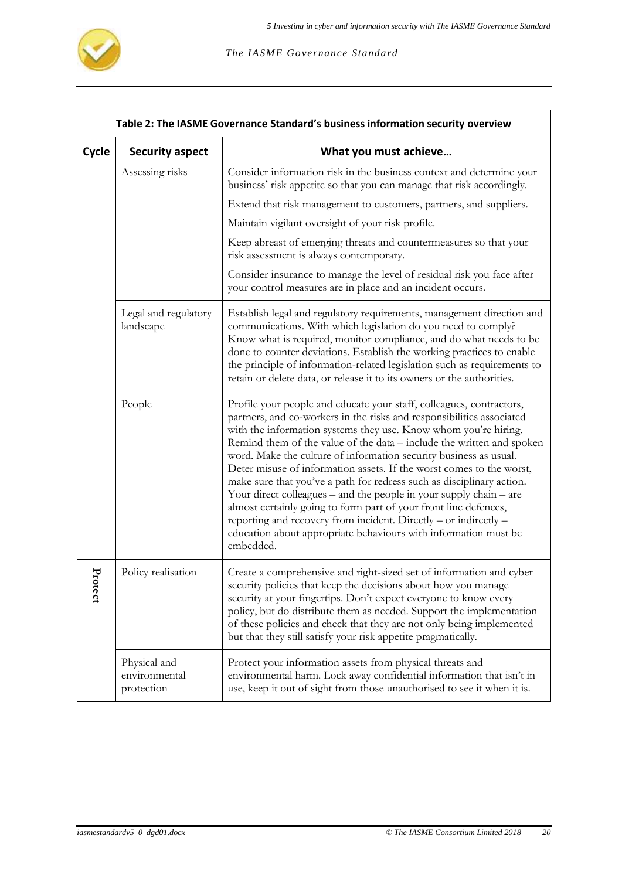

|             | Table 2: The IASME Governance Standard's business information security overview |                                                                                                                                                                                                                                                                                                                                                                                                                                                                                                                                                                                                                                                                                                                                                                                                               |  |
|-------------|---------------------------------------------------------------------------------|---------------------------------------------------------------------------------------------------------------------------------------------------------------------------------------------------------------------------------------------------------------------------------------------------------------------------------------------------------------------------------------------------------------------------------------------------------------------------------------------------------------------------------------------------------------------------------------------------------------------------------------------------------------------------------------------------------------------------------------------------------------------------------------------------------------|--|
| Cycle       | <b>Security aspect</b>                                                          | What you must achieve                                                                                                                                                                                                                                                                                                                                                                                                                                                                                                                                                                                                                                                                                                                                                                                         |  |
|             | Assessing risks                                                                 | Consider information risk in the business context and determine your<br>business' risk appetite so that you can manage that risk accordingly.                                                                                                                                                                                                                                                                                                                                                                                                                                                                                                                                                                                                                                                                 |  |
|             |                                                                                 | Extend that risk management to customers, partners, and suppliers.                                                                                                                                                                                                                                                                                                                                                                                                                                                                                                                                                                                                                                                                                                                                            |  |
|             |                                                                                 | Maintain vigilant oversight of your risk profile.                                                                                                                                                                                                                                                                                                                                                                                                                                                                                                                                                                                                                                                                                                                                                             |  |
|             |                                                                                 | Keep abreast of emerging threats and countermeasures so that your<br>risk assessment is always contemporary.                                                                                                                                                                                                                                                                                                                                                                                                                                                                                                                                                                                                                                                                                                  |  |
|             |                                                                                 | Consider insurance to manage the level of residual risk you face after<br>your control measures are in place and an incident occurs.                                                                                                                                                                                                                                                                                                                                                                                                                                                                                                                                                                                                                                                                          |  |
|             | Legal and regulatory<br>landscape                                               | Establish legal and regulatory requirements, management direction and<br>communications. With which legislation do you need to comply?<br>Know what is required, monitor compliance, and do what needs to be<br>done to counter deviations. Establish the working practices to enable<br>the principle of information-related legislation such as requirements to<br>retain or delete data, or release it to its owners or the authorities.                                                                                                                                                                                                                                                                                                                                                                   |  |
|             | People                                                                          | Profile your people and educate your staff, colleagues, contractors,<br>partners, and co-workers in the risks and responsibilities associated<br>with the information systems they use. Know whom you're hiring.<br>Remind them of the value of the data – include the written and spoken<br>word. Make the culture of information security business as usual.<br>Deter misuse of information assets. If the worst comes to the worst,<br>make sure that you've a path for redress such as disciplinary action.<br>Your direct colleagues – and the people in your supply chain – are<br>almost certainly going to form part of your front line defences,<br>reporting and recovery from incident. Directly - or indirectly -<br>education about appropriate behaviours with information must be<br>embedded. |  |
| Ŀr<br>otect | Policy realisation                                                              | Create a comprehensive and right-sized set of information and cyber<br>security policies that keep the decisions about how you manage<br>security at your fingertips. Don't expect everyone to know every<br>policy, but do distribute them as needed. Support the implementation<br>of these policies and check that they are not only being implemented<br>but that they still satisfy your risk appetite pragmatically.                                                                                                                                                                                                                                                                                                                                                                                    |  |
|             | Physical and<br>environmental<br>protection                                     | Protect your information assets from physical threats and<br>environmental harm. Lock away confidential information that isn't in<br>use, keep it out of sight from those unauthorised to see it when it is.                                                                                                                                                                                                                                                                                                                                                                                                                                                                                                                                                                                                  |  |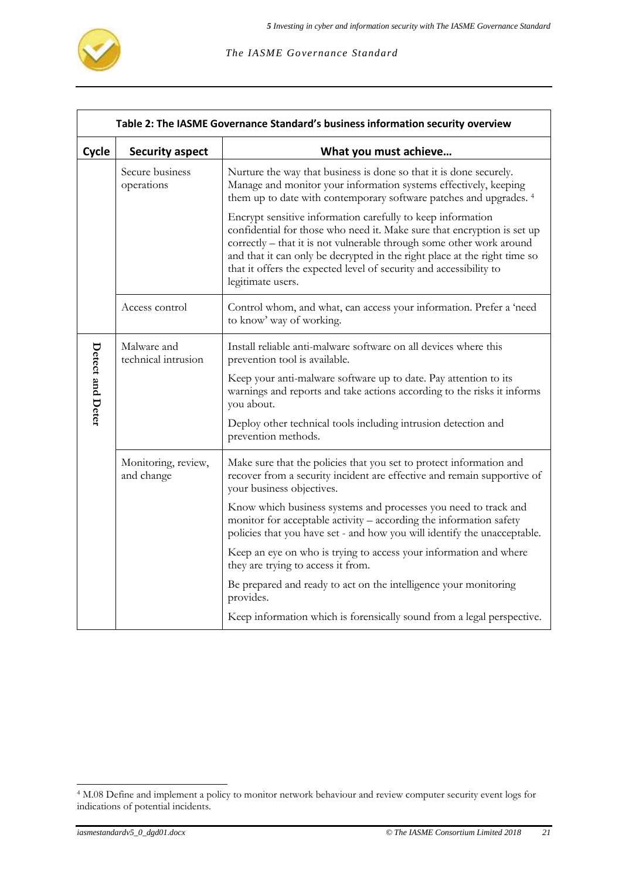

|                  | Table 2: The IASME Governance Standard's business information security overview |                                                                                                                                                                                                                                                                                                                                                                                        |  |
|------------------|---------------------------------------------------------------------------------|----------------------------------------------------------------------------------------------------------------------------------------------------------------------------------------------------------------------------------------------------------------------------------------------------------------------------------------------------------------------------------------|--|
| Cycle            | <b>Security aspect</b>                                                          | What you must achieve                                                                                                                                                                                                                                                                                                                                                                  |  |
|                  | Secure business<br>operations                                                   | Nurture the way that business is done so that it is done securely.<br>Manage and monitor your information systems effectively, keeping<br>them up to date with contemporary software patches and upgrades. <sup>4</sup>                                                                                                                                                                |  |
|                  |                                                                                 | Encrypt sensitive information carefully to keep information<br>confidential for those who need it. Make sure that encryption is set up<br>correctly – that it is not vulnerable through some other work around<br>and that it can only be decrypted in the right place at the right time so<br>that it offers the expected level of security and accessibility to<br>legitimate users. |  |
|                  | Access control                                                                  | Control whom, and what, can access your information. Prefer a 'need<br>to know' way of working.                                                                                                                                                                                                                                                                                        |  |
|                  | Malware and<br>technical intrusion                                              | Install reliable anti-malware software on all devices where this<br>prevention tool is available.                                                                                                                                                                                                                                                                                      |  |
| Detect and Deter |                                                                                 | Keep your anti-malware software up to date. Pay attention to its<br>warnings and reports and take actions according to the risks it informs<br>you about.                                                                                                                                                                                                                              |  |
|                  |                                                                                 | Deploy other technical tools including intrusion detection and<br>prevention methods.                                                                                                                                                                                                                                                                                                  |  |
|                  | Monitoring, review,<br>and change                                               | Make sure that the policies that you set to protect information and<br>recover from a security incident are effective and remain supportive of<br>your business objectives.                                                                                                                                                                                                            |  |
|                  |                                                                                 | Know which business systems and processes you need to track and<br>monitor for acceptable activity - according the information safety<br>policies that you have set - and how you will identify the unacceptable.                                                                                                                                                                      |  |
|                  |                                                                                 | Keep an eye on who is trying to access your information and where<br>they are trying to access it from.                                                                                                                                                                                                                                                                                |  |
|                  |                                                                                 | Be prepared and ready to act on the intelligence your monitoring<br>provides.                                                                                                                                                                                                                                                                                                          |  |
|                  |                                                                                 | Keep information which is forensically sound from a legal perspective.                                                                                                                                                                                                                                                                                                                 |  |

<sup>4</sup> M.08 Define and implement a policy to monitor network behaviour and review computer security event logs for indications of potential incidents.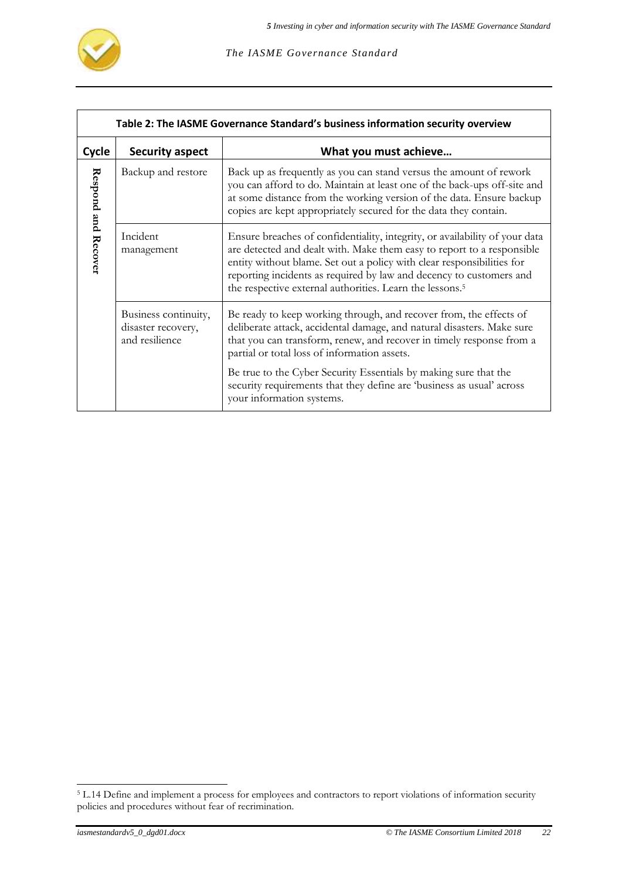

|                                                          | Table 2: The IASME Governance Standard's business information security overview |                                                                                                                                                                                                                                                                                                                                                                                |  |
|----------------------------------------------------------|---------------------------------------------------------------------------------|--------------------------------------------------------------------------------------------------------------------------------------------------------------------------------------------------------------------------------------------------------------------------------------------------------------------------------------------------------------------------------|--|
| What you must achieve<br>Cycle<br><b>Security aspect</b> |                                                                                 |                                                                                                                                                                                                                                                                                                                                                                                |  |
| Respond and Recover                                      | Backup and restore                                                              | Back up as frequently as you can stand versus the amount of rework<br>you can afford to do. Maintain at least one of the back-ups off-site and<br>at some distance from the working version of the data. Ensure backup<br>copies are kept appropriately secured for the data they contain.                                                                                     |  |
|                                                          | Incident<br>management                                                          | Ensure breaches of confidentiality, integrity, or availability of your data<br>are detected and dealt with. Make them easy to report to a responsible<br>entity without blame. Set out a policy with clear responsibilities for<br>reporting incidents as required by law and decency to customers and<br>the respective external authorities. Learn the lessons. <sup>5</sup> |  |
|                                                          | Business continuity,<br>disaster recovery,<br>and resilience                    | Be ready to keep working through, and recover from, the effects of<br>deliberate attack, accidental damage, and natural disasters. Make sure<br>that you can transform, renew, and recover in timely response from a<br>partial or total loss of information assets.                                                                                                           |  |
|                                                          |                                                                                 | Be true to the Cyber Security Essentials by making sure that the<br>security requirements that they define are 'business as usual' across<br>your information systems.                                                                                                                                                                                                         |  |

<sup>&</sup>lt;sup>5</sup> L.14 Define and implement a process for employees and contractors to report violations of information security policies and procedures without fear of recrimination.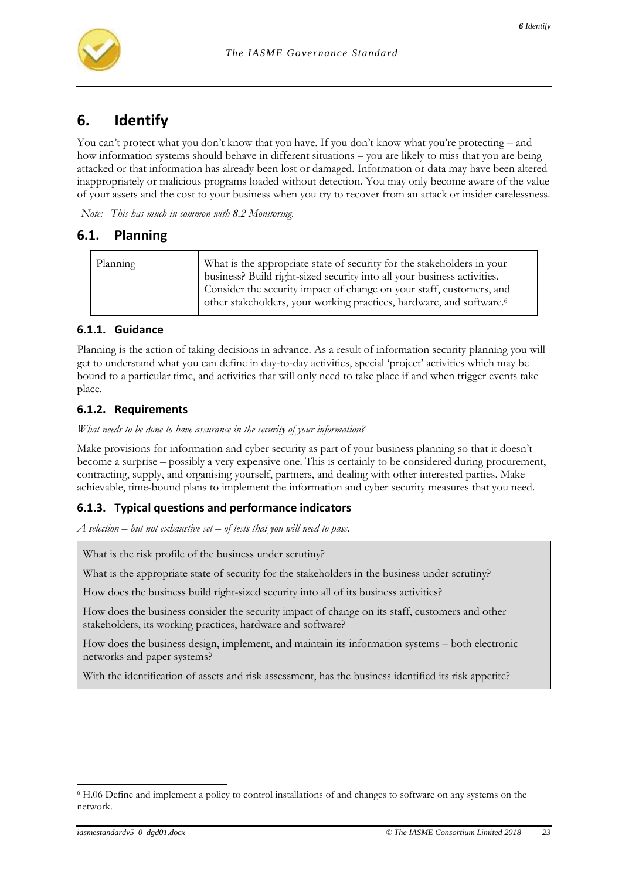

# **6. Identify**

You can't protect what you don't know that you have. If you don't know what you're protecting – and how information systems should behave in different situations – you are likely to miss that you are being attacked or that information has already been lost or damaged. Information or data may have been altered inappropriately or malicious programs loaded without detection. You may only become aware of the value of your assets and the cost to your business when you try to recover from an attack or insider carelessness.

*Note: This has much in common with [8.2](#page-39-0) [Monitoring.](#page-39-0)*

# **6.1. Planning**

| Planning | What is the appropriate state of security for the stakeholders in your           |
|----------|----------------------------------------------------------------------------------|
|          | business? Build right-sized security into all your business activities.          |
|          | Consider the security impact of change on your staff, customers, and             |
|          | other stakeholders, your working practices, hardware, and software. <sup>6</sup> |
|          |                                                                                  |

#### **6.1.1. Guidance**

Planning is the action of taking decisions in advance. As a result of information security planning you will get to understand what you can define in day-to-day activities, special 'project' activities which may be bound to a particular time, and activities that will only need to take place if and when trigger events take place.

#### **6.1.2. Requirements**

*What needs to be done to have assurance in the security of your information?*

Make provisions for information and cyber security as part of your business planning so that it doesn't become a surprise – possibly a very expensive one. This is certainly to be considered during procurement, contracting, supply, and organising yourself, partners, and dealing with other interested parties. Make achievable, time-bound plans to implement the information and cyber security measures that you need.

#### **6.1.3. Typical questions and performance indicators**

*A selection – but not exhaustive set – of tests that you will need to pass.*

What is the risk profile of the business under scrutiny?

What is the appropriate state of security for the stakeholders in the business under scrutiny?

How does the business build right-sized security into all of its business activities?

How does the business consider the security impact of change on its staff, customers and other stakeholders, its working practices, hardware and software?

How does the business design, implement, and maintain its information systems – both electronic networks and paper systems?

With the identification of assets and risk assessment, has the business identified its risk appetite?

<sup>6</sup> H.06 Define and implement a policy to control installations of and changes to software on any systems on the network.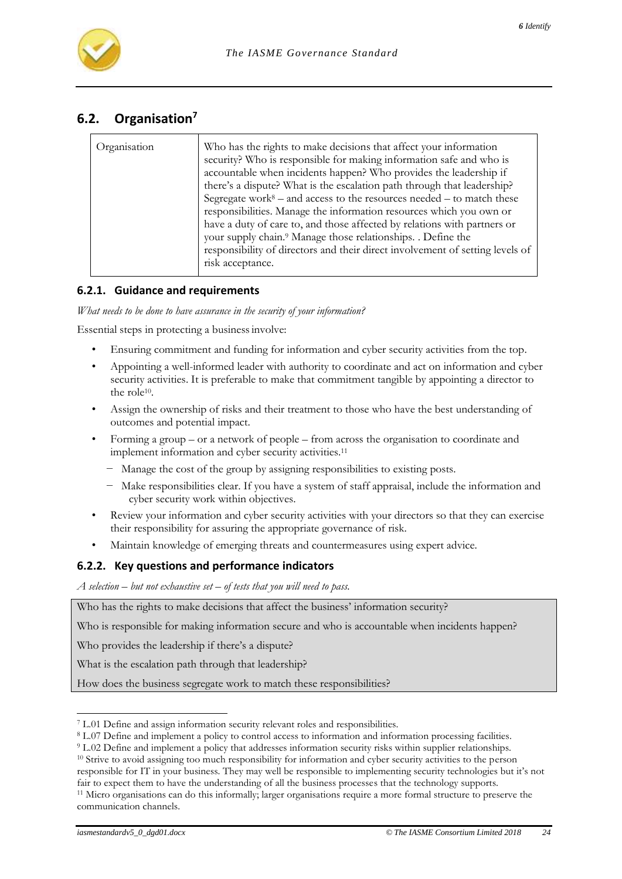

# **6.2. Organisation<sup>7</sup>**

| Organisation | Who has the rights to make decisions that affect your information<br>security? Who is responsible for making information safe and who is<br>accountable when incidents happen? Who provides the leadership if<br>there's a dispute? What is the escalation path through that leadership?<br>Segregate work <sup>8</sup> – and access to the resources needed – to match these<br>responsibilities. Manage the information resources which you own or<br>have a duty of care to, and those affected by relations with partners or<br>your supply chain. <sup>9</sup> Manage those relationships. . Define the<br>responsibility of directors and their direct involvement of setting levels of<br>risk acceptance. |
|--------------|-------------------------------------------------------------------------------------------------------------------------------------------------------------------------------------------------------------------------------------------------------------------------------------------------------------------------------------------------------------------------------------------------------------------------------------------------------------------------------------------------------------------------------------------------------------------------------------------------------------------------------------------------------------------------------------------------------------------|
|--------------|-------------------------------------------------------------------------------------------------------------------------------------------------------------------------------------------------------------------------------------------------------------------------------------------------------------------------------------------------------------------------------------------------------------------------------------------------------------------------------------------------------------------------------------------------------------------------------------------------------------------------------------------------------------------------------------------------------------------|

### **6.2.1. Guidance and requirements**

*What needs to be done to have assurance in the security of your information?*

Essential steps in protecting a businessinvolve:

- Ensuring commitment and funding for information and cyber security activities from the top.
- Appointing a well-informed leader with authority to coordinate and act on information and cyber security activities. It is preferable to make that commitment tangible by appointing a director to the role<sup>10</sup>.
- Assign the ownership of risks and their treatment to those who have the best understanding of outcomes and potential impact.
- Forming a group or a network of people from across the organisation to coordinate and implement information and cyber security activities.<sup>11</sup>
	- − Manage the cost of the group by assigning responsibilities to existing posts.
	- − Make responsibilities clear. If you have a system of staff appraisal, include the information and cyber security work within objectives.
- Review your information and cyber security activities with your directors so that they can exercise their responsibility for assuring the appropriate governance of risk.
- Maintain knowledge of emerging threats and countermeasures using expert advice.

#### **6.2.2. Key questions and performance indicators**

*A selection – but not exhaustive set – of tests that you will need to pass.*

Who has the rights to make decisions that affect the business' information security?

Who is responsible for making information secure and who is accountable when incidents happen?

Who provides the leadership if there's a dispute?

What is the escalation path through that leadership?

How does the business segregate work to match these responsibilities?

l <sup>7</sup> L.01 Define and assign information security relevant roles and responsibilities.

<sup>8</sup> L.07 Define and implement a policy to control access to information and information processing facilities.

<sup>9</sup> L.02 Define and implement a policy that addresses information security risks within supplier relationships.

<sup>&</sup>lt;sup>10</sup> Strive to avoid assigning too much responsibility for information and cyber security activities to the person responsible for IT in your business. They may well be responsible to implementing security technologies but it's not fair to expect them to have the understanding of all the business processes that the technology supports.

<sup>11</sup> Micro organisations can do this informally; larger organisations require a more formal structure to preserve the communication channels.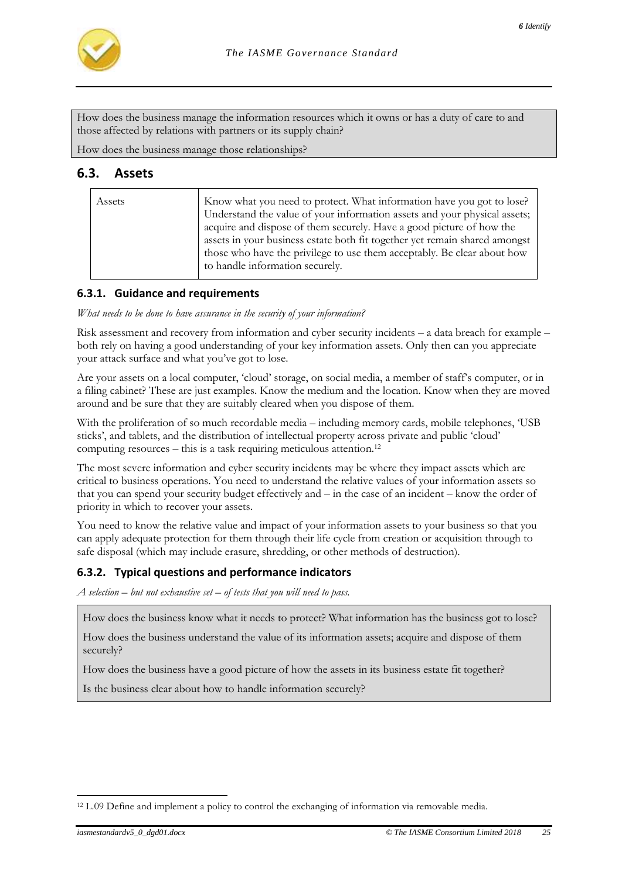

How does the business manage the information resources which it owns or has a duty of care to and those affected by relations with partners or its supply chain?

How does the business manage those relationships?

# **6.3. Assets**

| Assets | Know what you need to protect. What information have you got to lose?<br>Understand the value of your information assets and your physical assets;<br>acquire and dispose of them securely. Have a good picture of how the<br>assets in your business estate both fit together yet remain shared amongst<br>those who have the privilege to use them acceptably. Be clear about how<br>to handle information securely. |
|--------|------------------------------------------------------------------------------------------------------------------------------------------------------------------------------------------------------------------------------------------------------------------------------------------------------------------------------------------------------------------------------------------------------------------------|
|        |                                                                                                                                                                                                                                                                                                                                                                                                                        |

#### **6.3.1. Guidance and requirements**

*What needs to be done to have assurance in the security of your information?*

Risk assessment and recovery from information and cyber security incidents – a data breach for example – both rely on having a good understanding of your key information assets. Only then can you appreciate your attack surface and what you've got to lose.

Are your assets on a local computer, 'cloud' storage, on social media, a member of staff's computer, or in a filing cabinet? These are just examples. Know the medium and the location. Know when they are moved around and be sure that they are suitably cleared when you dispose of them.

With the proliferation of so much recordable media – including memory cards, mobile telephones, 'USB sticks', and tablets, and the distribution of intellectual property across private and public 'cloud' computing resources – this is a task requiring meticulous attention.<sup>12</sup>

The most severe information and cyber security incidents may be where they impact assets which are critical to business operations. You need to understand the relative values of your information assets so that you can spend your security budget effectively and – in the case of an incident – know the order of priority in which to recover your assets.

You need to know the relative value and impact of your information assets to your business so that you can apply adequate protection for them through their life cycle from creation or acquisition through to safe disposal (which may include erasure, shredding, or other methods of destruction).

#### **6.3.2. Typical questions and performance indicators**

*A selection – but not exhaustive set – of tests that you will need to pass.*

How does the business know what it needs to protect? What information has the business got to lose?

How does the business understand the value of its information assets; acquire and dispose of them securely?

How does the business have a good picture of how the assets in its business estate fit together?

Is the business clear about how to handle information securely?

<sup>&</sup>lt;sup>12</sup> L.09 Define and implement a policy to control the exchanging of information via removable media.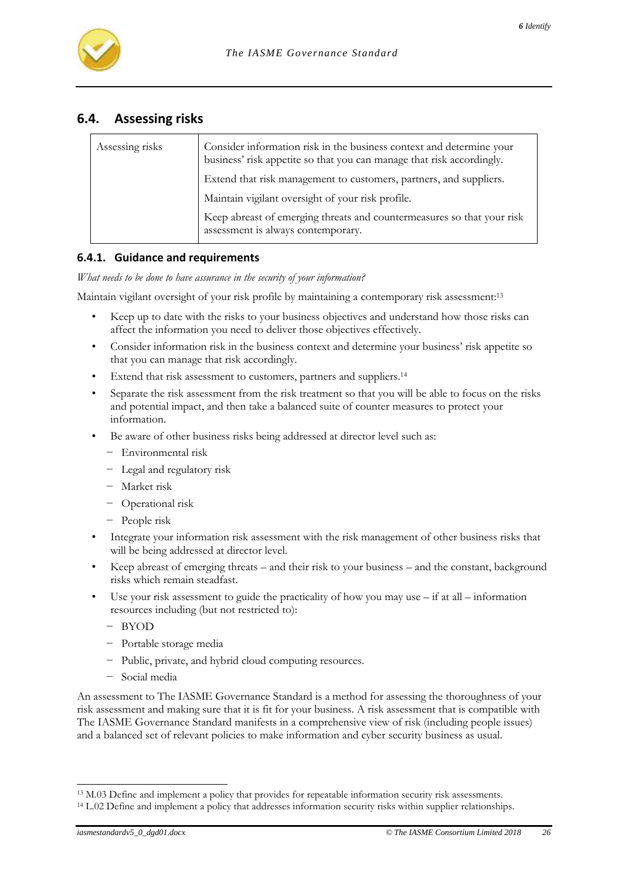

# **6.4. Assessing risks**

| Assessing risks                                                    | Consider information risk in the business context and determine your<br>business' risk appetite so that you can manage that risk accordingly. |
|--------------------------------------------------------------------|-----------------------------------------------------------------------------------------------------------------------------------------------|
| Extend that risk management to customers, partners, and suppliers. |                                                                                                                                               |
|                                                                    | Maintain vigilant oversight of your risk profile.                                                                                             |
|                                                                    | Keep abreast of emerging threats and countermeasures so that your risk<br>assessment is always contemporary.                                  |

#### **6.4.1. Guidance and requirements**

*What needs to be done to have assurance in the security of your information?*

Maintain vigilant oversight of your risk profile by maintaining a contemporary risk assessment:<sup>13</sup>

- Keep up to date with the risks to your business objectives and understand how those risks can affect the information you need to deliver those objectives effectively.
- Consider information risk in the business context and determine your business' risk appetite so that you can manage that risk accordingly.
- Extend that risk assessment to customers, partners and suppliers.<sup>14</sup>
- Separate the risk assessment from the risk treatment so that you will be able to focus on the risks and potential impact, and then take a balanced suite of counter measures to protect your information.
- Be aware of other business risks being addressed at director level such as:
	- − Environmental risk
	- − Legal and regulatory risk
	- − Market risk
	- − Operational risk
	- − People risk
- Integrate your information risk assessment with the risk management of other business risks that will be being addressed at director level.
- Keep abreast of emerging threats and their risk to your business and the constant, background risks which remain steadfast.
- Use your risk assessment to guide the practicality of how you may use  $-$  if at all  $-$  information resources including (but not restricted to):
	- − BYOD
	- − Portable storage media
	- − Public, private, and hybrid cloud computing resources.
	- − Social media

An assessment to The IASME Governance Standard is a method for assessing the thoroughness of your risk assessment and making sure that it is fit for your business. A risk assessment that is compatible with The IASME Governance Standard manifests in a comprehensive view of risk (including people issues) and a balanced set of relevant policies to make information and cyber security business as usual.

l <sup>13</sup> M.03 Define and implement a policy that provides for repeatable information security risk assessments.

<sup>14</sup> L.02 Define and implement a policy that addresses information security risks within supplier relationships.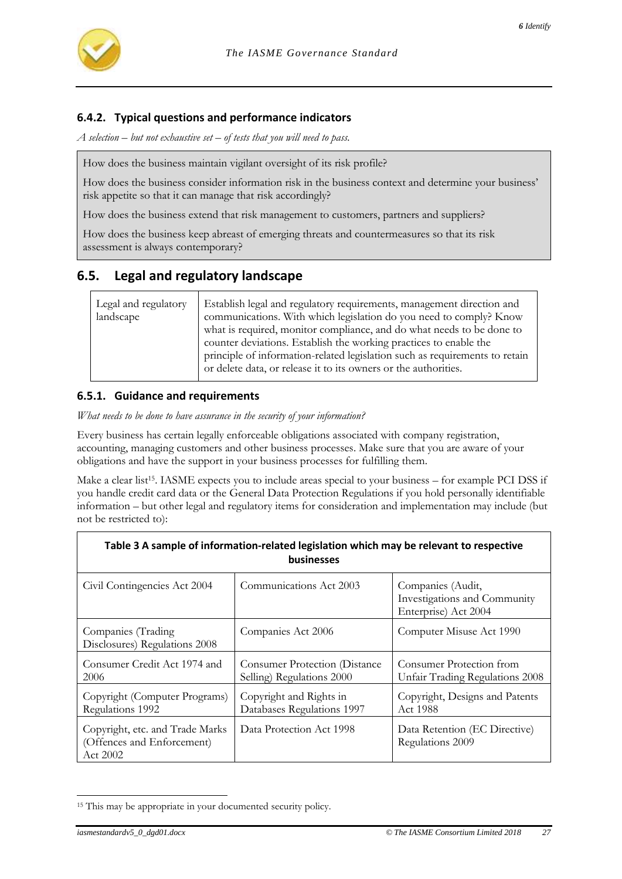

### **6.4.2. Typical questions and performance indicators**

*A selection – but not exhaustive set – of tests that you will need to pass.*

How does the business maintain vigilant oversight of its risk profile?

How does the business consider information risk in the business context and determine your business' risk appetite so that it can manage that risk accordingly?

How does the business extend that risk management to customers, partners and suppliers?

How does the business keep abreast of emerging threats and countermeasures so that its risk assessment is always contemporary?

# **6.5. Legal and regulatory landscape**

| Legal and regulatory<br>landscape | Establish legal and regulatory requirements, management direction and<br>communications. With which legislation do you need to comply? Know<br>what is required, monitor compliance, and do what needs to be done to<br>counter deviations. Establish the working practices to enable the<br>principle of information-related legislation such as requirements to retain<br>or delete data, or release it to its owners or the authorities. |
|-----------------------------------|---------------------------------------------------------------------------------------------------------------------------------------------------------------------------------------------------------------------------------------------------------------------------------------------------------------------------------------------------------------------------------------------------------------------------------------------|
|-----------------------------------|---------------------------------------------------------------------------------------------------------------------------------------------------------------------------------------------------------------------------------------------------------------------------------------------------------------------------------------------------------------------------------------------------------------------------------------------|

#### **6.5.1. Guidance and requirements**

*What needs to be done to have assurance in the security of your information?*

Every business has certain legally enforceable obligations associated with company registration, accounting, managing customers and other business processes. Make sure that you are aware of your obligations and have the support in your business processes for fulfilling them.

Make a clear list<sup>15</sup>. IASME expects you to include areas special to your business – for example PCI DSS if you handle credit card data or the General Data Protection Regulations if you hold personally identifiable information – but other legal and regulatory items for consideration and implementation may include (but not be restricted to):

<span id="page-26-0"></span>

| Table 3 A sample of information-related legislation which may be relevant to respective<br><b>businesses</b> |                                                                   |                                                                           |  |
|--------------------------------------------------------------------------------------------------------------|-------------------------------------------------------------------|---------------------------------------------------------------------------|--|
| Civil Contingencies Act 2004                                                                                 | Communications Act 2003                                           | Companies (Audit,<br>Investigations and Community<br>Enterprise) Act 2004 |  |
| Companies (Trading<br>Disclosures) Regulations 2008                                                          | Companies Act 2006                                                | Computer Misuse Act 1990                                                  |  |
| Consumer Credit Act 1974 and<br>2006                                                                         | <b>Consumer Protection (Distance</b><br>Selling) Regulations 2000 | Consumer Protection from<br>Unfair Trading Regulations 2008               |  |
| Copyright (Computer Programs)<br>Regulations 1992                                                            | Copyright and Rights in<br>Databases Regulations 1997             | Copyright, Designs and Patents<br>Act 1988                                |  |
| Copyright, etc. and Trade Marks<br>(Offences and Enforcement)<br>Act 2002                                    | Data Protection Act 1998                                          | Data Retention (EC Directive)<br>Regulations 2009                         |  |

l <sup>15</sup> This may be appropriate in your documented security policy.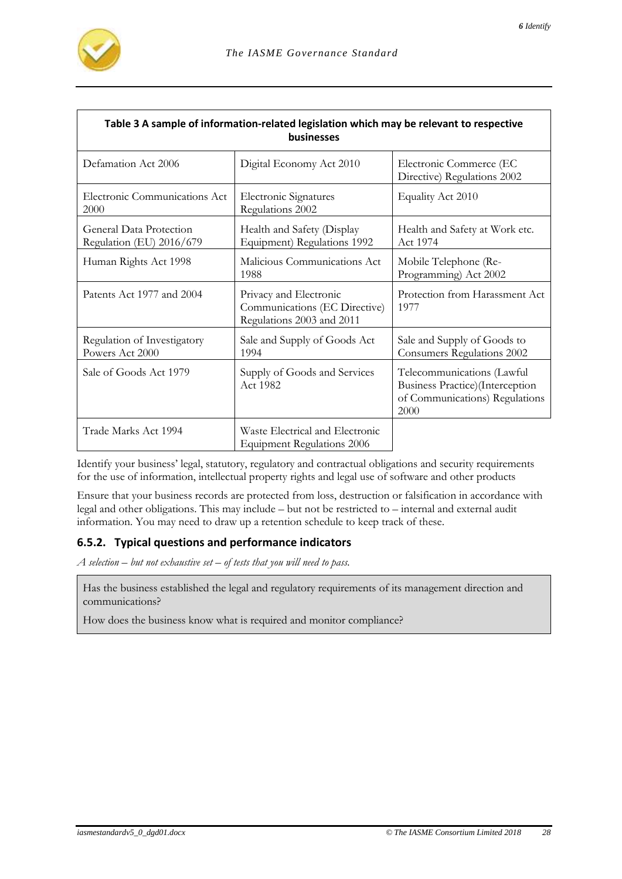

| Table 3 A sample of information-related legislation which may be relevant to respective<br>businesses |                                                                                      |                                                                                                         |  |
|-------------------------------------------------------------------------------------------------------|--------------------------------------------------------------------------------------|---------------------------------------------------------------------------------------------------------|--|
| Defamation Act 2006                                                                                   | Digital Economy Act 2010                                                             | Electronic Commerce (EC<br>Directive) Regulations 2002                                                  |  |
| Electronic Communications Act<br>2000                                                                 | <b>Electronic Signatures</b><br>Regulations 2002                                     | Equality Act 2010                                                                                       |  |
| General Data Protection<br>Regulation (EU) 2016/679                                                   | Health and Safety (Display<br>Equipment) Regulations 1992                            | Health and Safety at Work etc.<br>Act 1974                                                              |  |
| Human Rights Act 1998                                                                                 | Malicious Communications Act<br>1988                                                 | Mobile Telephone (Re-<br>Programming) Act 2002                                                          |  |
| Patents Act 1977 and 2004                                                                             | Privacy and Electronic<br>Communications (EC Directive)<br>Regulations 2003 and 2011 | Protection from Harassment Act<br>1977                                                                  |  |
| Regulation of Investigatory<br>Powers Act 2000                                                        | Sale and Supply of Goods Act<br>1994                                                 | Sale and Supply of Goods to<br>Consumers Regulations 2002                                               |  |
| Sale of Goods Act 1979                                                                                | Supply of Goods and Services<br>Act 1982                                             | Telecommunications (Lawful<br>Business Practice)(Interception<br>of Communications) Regulations<br>2000 |  |
| Trade Marks Act 1994                                                                                  | Waste Electrical and Electronic<br><b>Equipment Regulations 2006</b>                 |                                                                                                         |  |

Identify your business' legal, statutory, regulatory and contractual obligations and security requirements for the use of information, intellectual property rights and legal use of software and other products

Ensure that your business records are protected from loss, destruction or falsification in accordance with legal and other obligations. This may include – but not be restricted to – internal and external audit information. You may need to draw up a retention schedule to keep track of these.

#### **6.5.2. Typical questions and performance indicators**

*A selection – but not exhaustive set – of tests that you will need to pass.*

Has the business established the legal and regulatory requirements of its management direction and communications?

How does the business know what is required and monitor compliance?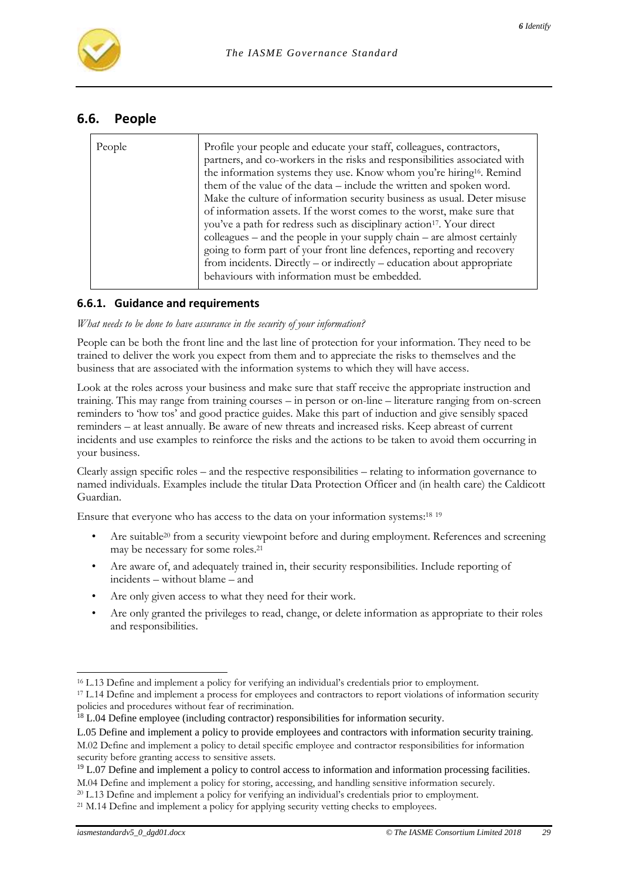

### **6.6. People**

| People |                                                                                                                                                    |
|--------|----------------------------------------------------------------------------------------------------------------------------------------------------|
|        | Profile your people and educate your staff, colleagues, contractors,<br>partners, and co-workers in the risks and responsibilities associated with |
|        |                                                                                                                                                    |
|        | the information systems they use. Know whom you're hiring <sup>16</sup> . Remind                                                                   |
|        | them of the value of the data – include the written and spoken word.                                                                               |
|        | Make the culture of information security business as usual. Deter misuse                                                                           |
|        | of information assets. If the worst comes to the worst, make sure that                                                                             |
|        | you've a path for redress such as disciplinary action <sup>17</sup> . Your direct                                                                  |
|        | colleagues – and the people in your supply chain – are almost certainly                                                                            |
|        | going to form part of your front line defences, reporting and recovery                                                                             |
|        | from incidents. Directly $-$ or indirectly $-$ education about appropriate                                                                         |
|        | behaviours with information must be embedded.                                                                                                      |

#### **6.6.1. Guidance and requirements**

#### *What needs to be done to have assurance in the security of your information?*

People can be both the front line and the last line of protection for your information. They need to be trained to deliver the work you expect from them and to appreciate the risks to themselves and the business that are associated with the information systems to which they will have access.

Look at the roles across your business and make sure that staff receive the appropriate instruction and training. This may range from training courses – in person or on-line – literature ranging from on-screen reminders to 'how tos' and good practice guides. Make this part of induction and give sensibly spaced reminders – at least annually. Be aware of new threats and increased risks. Keep abreast of current incidents and use examples to reinforce the risks and the actions to be taken to avoid them occurring in your business.

Clearly assign specific roles – and the respective responsibilities – relating to information governance to named individuals. Examples include the titular Data Protection Officer and (in health care) the Caldicott Guardian.

Ensure that everyone who has access to the data on your information systems:<sup>18</sup> <sup>19</sup>

- Are suitable<sup>20</sup> from a security viewpoint before and during employment. References and screening may be necessary for some roles.<sup>21</sup>
- Are aware of, and adequately trained in, their security responsibilities. Include reporting of incidents – without blame – and
- Are only given access to what they need for their work.
- Are only granted the privileges to read, change, or delete information as appropriate to their roles and responsibilities.

<sup>-</sup><sup>16</sup> L.13 Define and implement a policy for verifying an individual's credentials prior to employment.

<sup>&</sup>lt;sup>17</sup> L.14 Define and implement a process for employees and contractors to report violations of information security policies and procedures without fear of recrimination.

<sup>&</sup>lt;sup>18</sup> L.04 Define employee (including contractor) responsibilities for information security.

L.05 Define and implement a policy to provide employees and contractors with information security training.

M.02 Define and implement a policy to detail specific employee and contractor responsibilities for information security before granting access to sensitive assets.

<sup>&</sup>lt;sup>19</sup> L.07 Define and implement a policy to control access to information and information processing facilities. M.04 Define and implement a policy for storing, accessing, and handling sensitive information securely.

<sup>&</sup>lt;sup>20</sup> L.13 Define and implement a policy for verifying an individual's credentials prior to employment.

<sup>&</sup>lt;sup>21</sup> M.14 Define and implement a policy for applying security vetting checks to employees.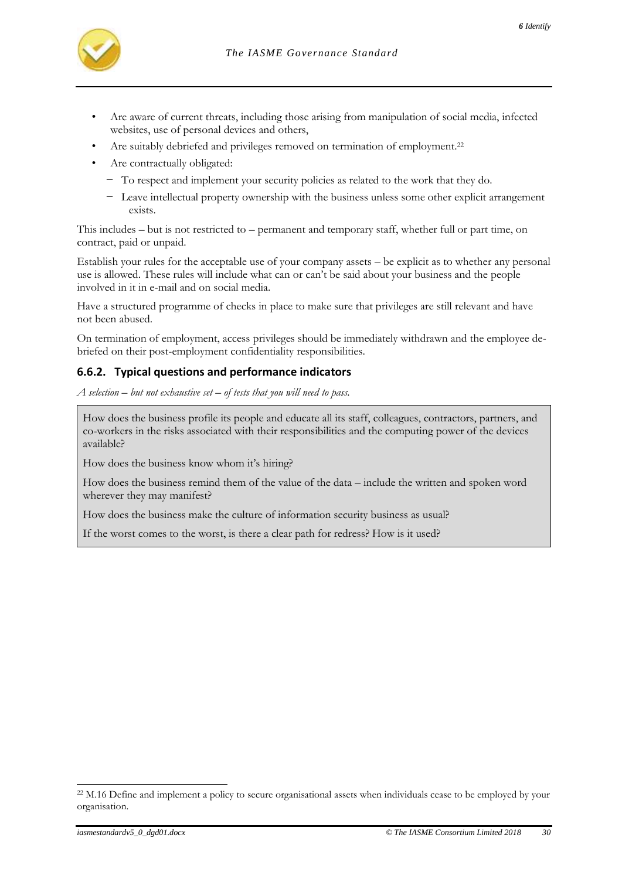- *6 Identify*
- Are aware of current threats, including those arising from manipulation of social media, infected websites, use of personal devices and others,
- Are suitably debriefed and privileges removed on termination of employment.<sup>22</sup>
- Are contractually obligated:
	- − To respect and implement your security policies as related to the work that they do.
	- − Leave intellectual property ownership with the business unless some other explicit arrangement exists.

This includes – but is not restricted to – permanent and temporary staff, whether full or part time, on contract, paid or unpaid.

Establish your rules for the acceptable use of your company assets – be explicit as to whether any personal use is allowed. These rules will include what can or can't be said about your business and the people involved in it in e-mail and on social media.

Have a structured programme of checks in place to make sure that privileges are still relevant and have not been abused.

On termination of employment, access privileges should be immediately withdrawn and the employee debriefed on their post-employment confidentiality responsibilities.

# **6.6.2. Typical questions and performance indicators**

*A selection – but not exhaustive set – of tests that you will need to pass.*

How does the business profile its people and educate all its staff, colleagues, contractors, partners, and co-workers in the risks associated with their responsibilities and the computing power of the devices available?

How does the business know whom it's hiring?

How does the business remind them of the value of the data – include the written and spoken word wherever they may manifest?

How does the business make the culture of information security business as usual?

If the worst comes to the worst, is there a clear path for redress? How is it used?

<sup>&</sup>lt;sup>22</sup> M.16 Define and implement a policy to secure organisational assets when individuals cease to be employed by your organisation.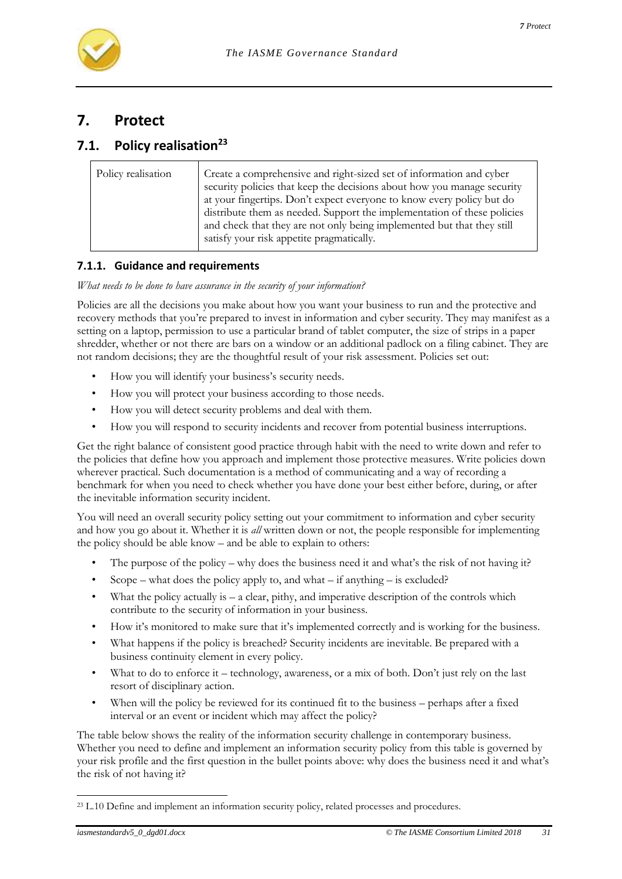

# **7. Protect**

# **7.1. Policy realisation<sup>23</sup>**

| Policy realisation | Create a comprehensive and right-sized set of information and cyber<br>security policies that keep the decisions about how you manage security                                                                                                                          |
|--------------------|-------------------------------------------------------------------------------------------------------------------------------------------------------------------------------------------------------------------------------------------------------------------------|
|                    | at your fingertips. Don't expect everyone to know every policy but do<br>distribute them as needed. Support the implementation of these policies<br>and check that they are not only being implemented but that they still<br>satisfy your risk appetite pragmatically. |

### **7.1.1. Guidance and requirements**

*What needs to be done to have assurance in the security of your information?*

Policies are all the decisions you make about how you want your business to run and the protective and recovery methods that you're prepared to invest in information and cyber security. They may manifest as a setting on a laptop, permission to use a particular brand of tablet computer, the size of strips in a paper shredder, whether or not there are bars on a window or an additional padlock on a filing cabinet. They are not random decisions; they are the thoughtful result of your risk assessment. Policies set out:

- How you will identify your business's security needs.
- How you will protect your business according to those needs.
- How you will detect security problems and deal with them.
- How you will respond to security incidents and recover from potential business interruptions.

Get the right balance of consistent good practice through habit with the need to write down and refer to the policies that define how you approach and implement those protective measures. Write policies down wherever practical. Such documentation is a method of communicating and a way of recording a benchmark for when you need to check whether you have done your best either before, during, or after the inevitable information security incident.

You will need an overall security policy setting out your commitment to information and cyber security and how you go about it. Whether it is *all* written down or not, the people responsible for implementing the policy should be able know – and be able to explain to others:

- The purpose of the policy why does the business need it and what's the risk of not having it?
- Scope what does the policy apply to, and what if anything is excluded?
- What the policy actually is a clear, pithy, and imperative description of the controls which contribute to the security of information in your business.
- How it's monitored to make sure that it's implemented correctly and is working for the business.
- What happens if the policy is breached? Security incidents are inevitable. Be prepared with a business continuity element in every policy.
- What to do to enforce it technology, awareness, or a mix of both. Don't just rely on the last resort of disciplinary action.
- When will the policy be reviewed for its continued fit to the business perhaps after a fixed interval or an event or incident which may affect the policy?

The table below shows the reality of the information security challenge in contemporary business. Whether you need to define and implement an information security policy from this table is governed by your risk profile and the first question in the bullet points above: why does the business need it and what's the risk of not having it?

<sup>&</sup>lt;sup>23</sup> L.10 Define and implement an information security policy, related processes and procedures.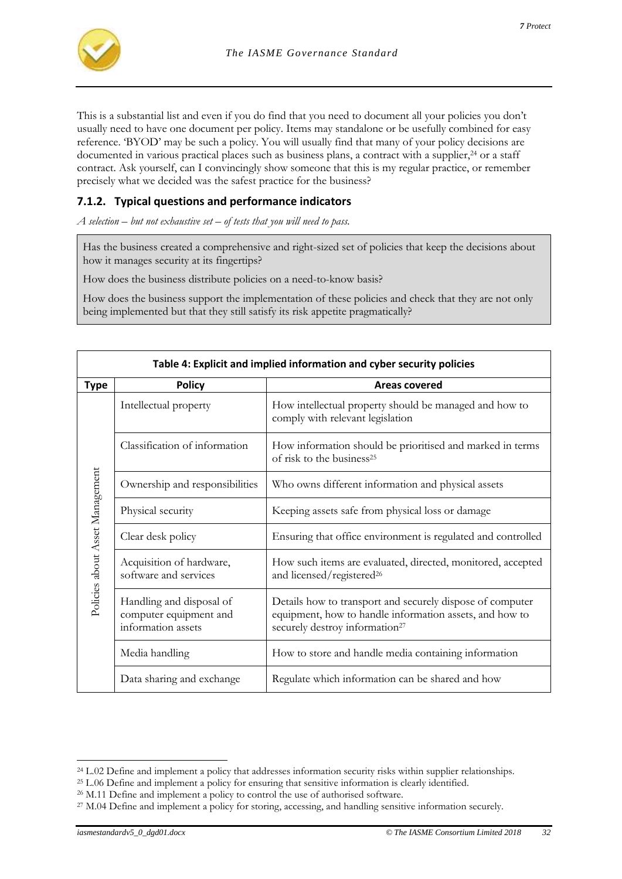

This is a substantial list and even if you do find that you need to document all your policies you don't usually need to have one document per policy. Items may standalone or be usefully combined for easy reference. 'BYOD' may be such a policy. You will usually find that many of your policy decisions are documented in various practical places such as business plans, a contract with a supplier,<sup>24</sup> or a staff contract. Ask yourself, can I convincingly show someone that this is my regular practice, or remember precisely what we decided was the safest practice for the business?

### **7.1.2. Typical questions and performance indicators**

*A selection – but not exhaustive set – of tests that you will need to pass.*

Has the business created a comprehensive and right-sized set of policies that keep the decisions about how it manages security at its fingertips?

How does the business distribute policies on a need-to-know basis?

How does the business support the implementation of these policies and check that they are not only being implemented but that they still satisfy its risk appetite pragmatically?

<span id="page-31-0"></span>

|                                 | Table 4: Explicit and implied information and cyber security policies    |                                                                                                                                                                    |  |
|---------------------------------|--------------------------------------------------------------------------|--------------------------------------------------------------------------------------------------------------------------------------------------------------------|--|
| <b>Type</b>                     | <b>Policy</b>                                                            | Areas covered                                                                                                                                                      |  |
|                                 | Intellectual property                                                    | How intellectual property should be managed and how to<br>comply with relevant legislation                                                                         |  |
|                                 | Classification of information                                            | How information should be prioritised and marked in terms<br>of risk to the business <sup>25</sup>                                                                 |  |
|                                 | Ownership and responsibilities                                           | Who owns different information and physical assets                                                                                                                 |  |
|                                 | Physical security                                                        | Keeping assets safe from physical loss or damage                                                                                                                   |  |
|                                 | Clear desk policy                                                        | Ensuring that office environment is regulated and controlled                                                                                                       |  |
| Policies about Asset Management | Acquisition of hardware,<br>software and services                        | How such items are evaluated, directed, monitored, accepted<br>and licensed/registered <sup>26</sup>                                                               |  |
|                                 | Handling and disposal of<br>computer equipment and<br>information assets | Details how to transport and securely dispose of computer<br>equipment, how to handle information assets, and how to<br>securely destroy information <sup>27</sup> |  |
|                                 | Media handling                                                           | How to store and handle media containing information                                                                                                               |  |
|                                 | Data sharing and exchange                                                | Regulate which information can be shared and how                                                                                                                   |  |

l <sup>24</sup> L.02 Define and implement a policy that addresses information security risks within supplier relationships.

<sup>25</sup> L.06 Define and implement a policy for ensuring that sensitive information is clearly identified.

<sup>&</sup>lt;sup>26</sup> M.11 Define and implement a policy to control the use of authorised software.

<sup>&</sup>lt;sup>27</sup> M.04 Define and implement a policy for storing, accessing, and handling sensitive information securely.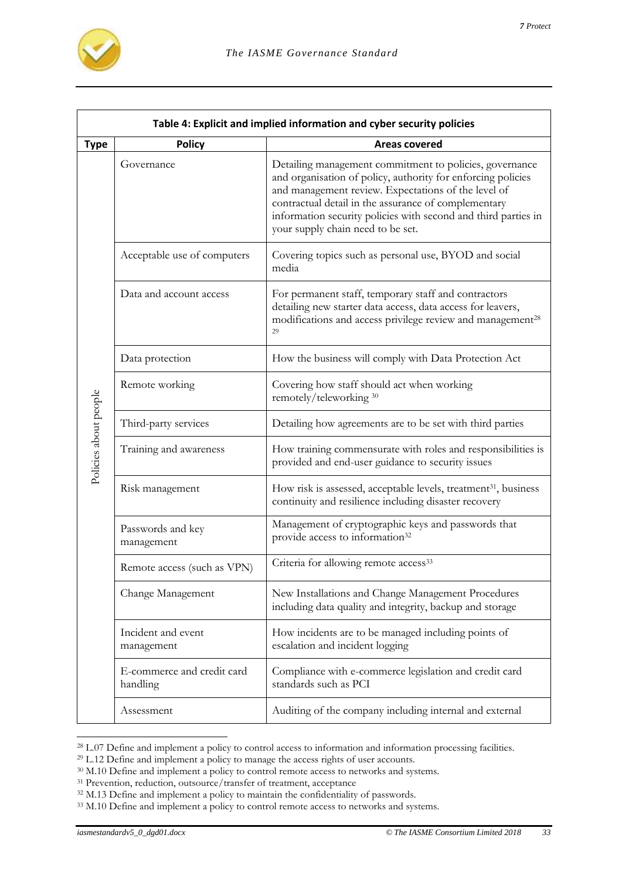

|                       | Table 4: Explicit and implied information and cyber security policies |                                                                                                                                                                                                                                                                                                                                               |  |
|-----------------------|-----------------------------------------------------------------------|-----------------------------------------------------------------------------------------------------------------------------------------------------------------------------------------------------------------------------------------------------------------------------------------------------------------------------------------------|--|
| <b>Type</b>           | <b>Policy</b>                                                         | <b>Areas covered</b>                                                                                                                                                                                                                                                                                                                          |  |
|                       | Governance                                                            | Detailing management commitment to policies, governance<br>and organisation of policy, authority for enforcing policies<br>and management review. Expectations of the level of<br>contractual detail in the assurance of complementary<br>information security policies with second and third parties in<br>your supply chain need to be set. |  |
|                       | Acceptable use of computers                                           | Covering topics such as personal use, BYOD and social<br>media                                                                                                                                                                                                                                                                                |  |
|                       | Data and account access                                               | For permanent staff, temporary staff and contractors<br>detailing new starter data access, data access for leavers,<br>modifications and access privilege review and management <sup>28</sup><br>29                                                                                                                                           |  |
|                       | Data protection                                                       | How the business will comply with Data Protection Act                                                                                                                                                                                                                                                                                         |  |
|                       | Remote working                                                        | Covering how staff should act when working<br>remotely/teleworking 30                                                                                                                                                                                                                                                                         |  |
|                       | Third-party services                                                  | Detailing how agreements are to be set with third parties                                                                                                                                                                                                                                                                                     |  |
| Policies about people | Training and awareness                                                | How training commensurate with roles and responsibilities is<br>provided and end-user guidance to security issues                                                                                                                                                                                                                             |  |
|                       | Risk management                                                       | How risk is assessed, acceptable levels, treatment <sup>31</sup> , business<br>continuity and resilience including disaster recovery                                                                                                                                                                                                          |  |
|                       | Passwords and key<br>management                                       | Management of cryptographic keys and passwords that<br>provide access to information <sup>32</sup>                                                                                                                                                                                                                                            |  |
|                       | Remote access (such as VPN)                                           | Criteria for allowing remote access <sup>33</sup>                                                                                                                                                                                                                                                                                             |  |
|                       | Change Management                                                     | New Installations and Change Management Procedures<br>including data quality and integrity, backup and storage                                                                                                                                                                                                                                |  |
|                       | Incident and event<br>management                                      | How incidents are to be managed including points of<br>escalation and incident logging                                                                                                                                                                                                                                                        |  |
|                       | E-commerce and credit card<br>handling                                | Compliance with e-commerce legislation and credit card<br>standards such as PCI                                                                                                                                                                                                                                                               |  |
|                       | Assessment                                                            | Auditing of the company including internal and external                                                                                                                                                                                                                                                                                       |  |

<sup>&</sup>lt;sup>28</sup> L.07 Define and implement a policy to control access to information and information processing facilities.

<sup>&</sup>lt;sup>29</sup> L.12 Define and implement a policy to manage the access rights of user accounts.

<sup>&</sup>lt;sup>30</sup> M.10 Define and implement a policy to control remote access to networks and systems.

<sup>&</sup>lt;sup>31</sup> Prevention, reduction, outsource/transfer of treatment, acceptance

<sup>&</sup>lt;sup>32</sup> M.13 Define and implement a policy to maintain the confidentiality of passwords.

<sup>&</sup>lt;sup>33</sup> M.10 Define and implement a policy to control remote access to networks and systems.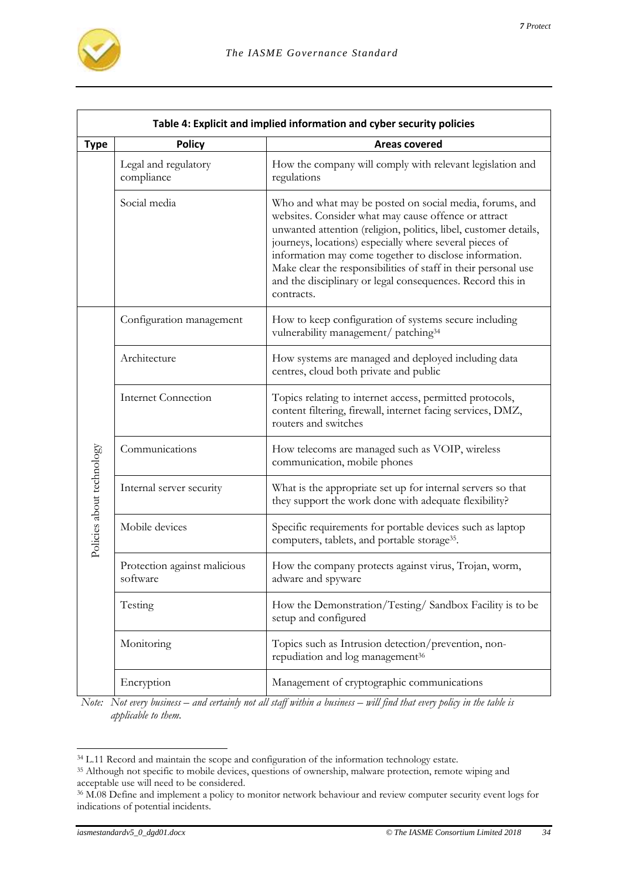

| Table 4: Explicit and implied information and cyber security policies |                                          |                                                                                                                                                                                                                                                                                                                                                                                                                                                        |  |
|-----------------------------------------------------------------------|------------------------------------------|--------------------------------------------------------------------------------------------------------------------------------------------------------------------------------------------------------------------------------------------------------------------------------------------------------------------------------------------------------------------------------------------------------------------------------------------------------|--|
| <b>Type</b>                                                           | <b>Policy</b>                            | <b>Areas covered</b>                                                                                                                                                                                                                                                                                                                                                                                                                                   |  |
|                                                                       | Legal and regulatory<br>compliance       | How the company will comply with relevant legislation and<br>regulations                                                                                                                                                                                                                                                                                                                                                                               |  |
|                                                                       | Social media                             | Who and what may be posted on social media, forums, and<br>websites. Consider what may cause offence or attract<br>unwanted attention (religion, politics, libel, customer details,<br>journeys, locations) especially where several pieces of<br>information may come together to disclose information.<br>Make clear the responsibilities of staff in their personal use<br>and the disciplinary or legal consequences. Record this in<br>contracts. |  |
|                                                                       | Configuration management                 | How to keep configuration of systems secure including<br>vulnerability management/ patching <sup>34</sup>                                                                                                                                                                                                                                                                                                                                              |  |
|                                                                       | Architecture                             | How systems are managed and deployed including data<br>centres, cloud both private and public                                                                                                                                                                                                                                                                                                                                                          |  |
|                                                                       | <b>Internet Connection</b>               | Topics relating to internet access, permitted protocols,<br>content filtering, firewall, internet facing services, DMZ,<br>routers and switches                                                                                                                                                                                                                                                                                                        |  |
|                                                                       | Communications                           | How telecoms are managed such as VOIP, wireless<br>communication, mobile phones                                                                                                                                                                                                                                                                                                                                                                        |  |
|                                                                       | Internal server security                 | What is the appropriate set up for internal servers so that<br>they support the work done with adequate flexibility?                                                                                                                                                                                                                                                                                                                                   |  |
| Policies about technology                                             | Mobile devices                           | Specific requirements for portable devices such as laptop<br>computers, tablets, and portable storage <sup>35</sup> .                                                                                                                                                                                                                                                                                                                                  |  |
|                                                                       | Protection against malicious<br>software | How the company protects against virus, Trojan, worm,<br>adware and spyware                                                                                                                                                                                                                                                                                                                                                                            |  |
|                                                                       | Testing                                  | How the Demonstration/Testing/Sandbox Facility is to be<br>setup and configured                                                                                                                                                                                                                                                                                                                                                                        |  |
|                                                                       | Monitoring                               | Topics such as Intrusion detection/prevention, non-<br>repudiation and log management <sup>36</sup>                                                                                                                                                                                                                                                                                                                                                    |  |
|                                                                       | Encryption                               | Management of cryptographic communications                                                                                                                                                                                                                                                                                                                                                                                                             |  |

*Note:* Not every business – and certainly not all staff within a business – will find that every policy in the table is *applicable to them.*

<sup>&</sup>lt;sup>34</sup> L.11 Record and maintain the scope and configuration of the information technology estate.

<sup>&</sup>lt;sup>35</sup> Although not specific to mobile devices, questions of ownership, malware protection, remote wiping and acceptable use will need to be considered.

<sup>&</sup>lt;sup>36</sup> M.08 Define and implement a policy to monitor network behaviour and review computer security event logs for indications of potential incidents.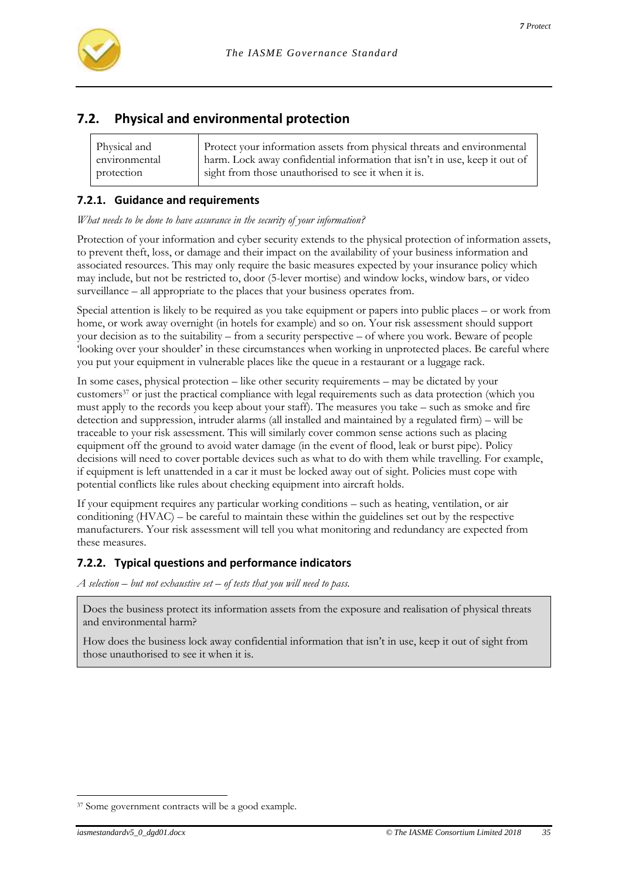

# **7.2. Physical and environmental protection**

| Physical and  | Protect your information assets from physical threats and environmental    |
|---------------|----------------------------------------------------------------------------|
| environmental | harm. Lock away confidential information that isn't in use, keep it out of |
| protection    | sight from those unauthorised to see it when it is.                        |

### **7.2.1. Guidance and requirements**

*What needs to be done to have assurance in the security of your information?*

Protection of your information and cyber security extends to the physical protection of information assets, to prevent theft, loss, or damage and their impact on the availability of your business information and associated resources. This may only require the basic measures expected by your insurance policy which may include, but not be restricted to, door (5-lever mortise) and window locks, window bars, or video surveillance – all appropriate to the places that your business operates from.

Special attention is likely to be required as you take equipment or papers into public places – or work from home, or work away overnight (in hotels for example) and so on. Your risk assessment should support your decision as to the suitability – from a security perspective – of where you work. Beware of people 'looking over your shoulder' in these circumstances when working in unprotected places. Be careful where you put your equipment in vulnerable places like the queue in a restaurant or a luggage rack.

In some cases, physical protection – like other security requirements – may be dictated by your customers<sup>37</sup> or just the practical compliance with legal requirements such as data protection (which you must apply to the records you keep about your staff). The measures you take – such as smoke and fire detection and suppression, intruder alarms (all installed and maintained by a regulated firm) – will be traceable to your risk assessment. This will similarly cover common sense actions such as placing equipment off the ground to avoid water damage (in the event of flood, leak or burst pipe). Policy decisions will need to cover portable devices such as what to do with them while travelling. For example, if equipment is left unattended in a car it must be locked away out of sight. Policies must cope with potential conflicts like rules about checking equipment into aircraft holds.

If your equipment requires any particular working conditions – such as heating, ventilation, or air conditioning (HVAC) – be careful to maintain these within the guidelines set out by the respective manufacturers. Your risk assessment will tell you what monitoring and redundancy are expected from these measures.

# **7.2.2. Typical questions and performance indicators**

*A selection – but not exhaustive set – of tests that you will need to pass.*

Does the business protect its information assets from the exposure and realisation of physical threats and environmental harm?

How does the business lock away confidential information that isn't in use, keep it out of sight from those unauthorised to see it when it is.

l <sup>37</sup> Some government contracts will be a good example.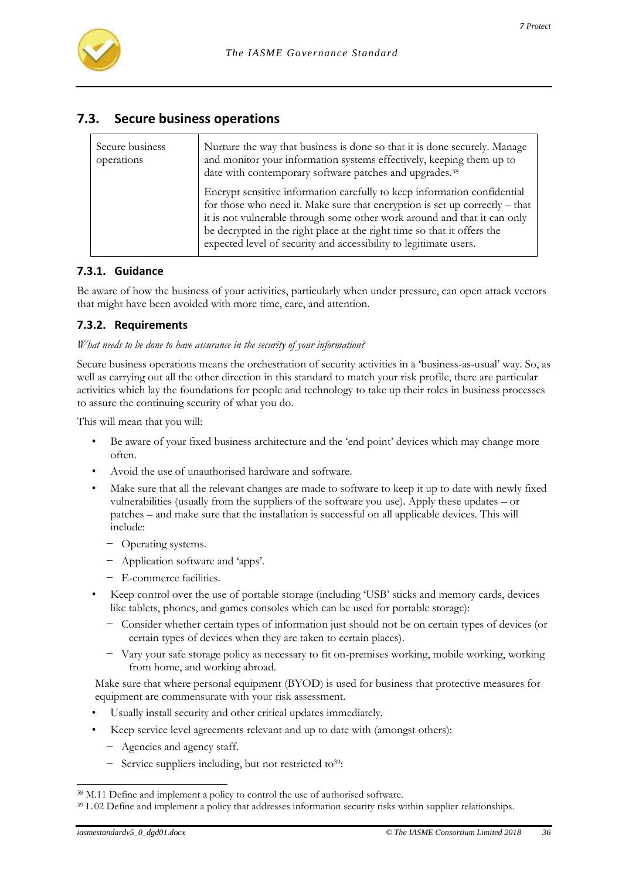

# **7.3. Secure business operations**

| Secure business<br>operations | Nurture the way that business is done so that it is done securely. Manage<br>and monitor your information systems effectively, keeping them up to<br>date with contemporary software patches and upgrades. <sup>38</sup>                                                                                                                                                            |
|-------------------------------|-------------------------------------------------------------------------------------------------------------------------------------------------------------------------------------------------------------------------------------------------------------------------------------------------------------------------------------------------------------------------------------|
|                               | Encrypt sensitive information carefully to keep information confidential<br>for those who need it. Make sure that encryption is set up correctly – that<br>it is not vulnerable through some other work around and that it can only<br>be decrypted in the right place at the right time so that it offers the<br>expected level of security and accessibility to legitimate users. |

#### **7.3.1. Guidance**

Be aware of how the business of your activities, particularly when under pressure, can open attack vectors that might have been avoided with more time, care, and attention.

#### **7.3.2. Requirements**

*What needs to be done to have assurance in the security of your information?*

Secure business operations means the orchestration of security activities in a 'business-as-usual' way. So, as well as carrying out all the other direction in this standard to match your risk profile, there are particular activities which lay the foundations for people and technology to take up their roles in business processes to assure the continuing security of what you do.

This will mean that you will:

- Be aware of your fixed business architecture and the 'end point' devices which may change more often.
- Avoid the use of unauthorised hardware and software.
- Make sure that all the relevant changes are made to software to keep it up to date with newly fixed vulnerabilities (usually from the suppliers of the software you use). Apply these updates – or patches – and make sure that the installation is successful on all applicable devices. This will include:
	- − Operating systems.
	- − Application software and 'apps'.
	- − E-commerce facilities.
- Keep control over the use of portable storage (including 'USB' sticks and memory cards, devices like tablets, phones, and games consoles which can be used for portable storage):
	- − Consider whether certain types of information just should not be on certain types of devices (or certain types of devices when they are taken to certain places).
	- − Vary your safe storage policy as necessary to fit on-premises working, mobile working, working from home, and working abroad.

Make sure that where personal equipment (BYOD) is used for business that protective measures for equipment are commensurate with your risk assessment.

- Usually install security and other critical updates immediately.
- Keep service level agreements relevant and up to date with (amongst others):
	- − Agencies and agency staff.
	- − Service suppliers including, but not restricted to39:

<sup>38</sup> M.11 Define and implement a policy to control the use of authorised software.

<sup>39</sup> L.02 Define and implement a policy that addresses information security risks within supplier relationships.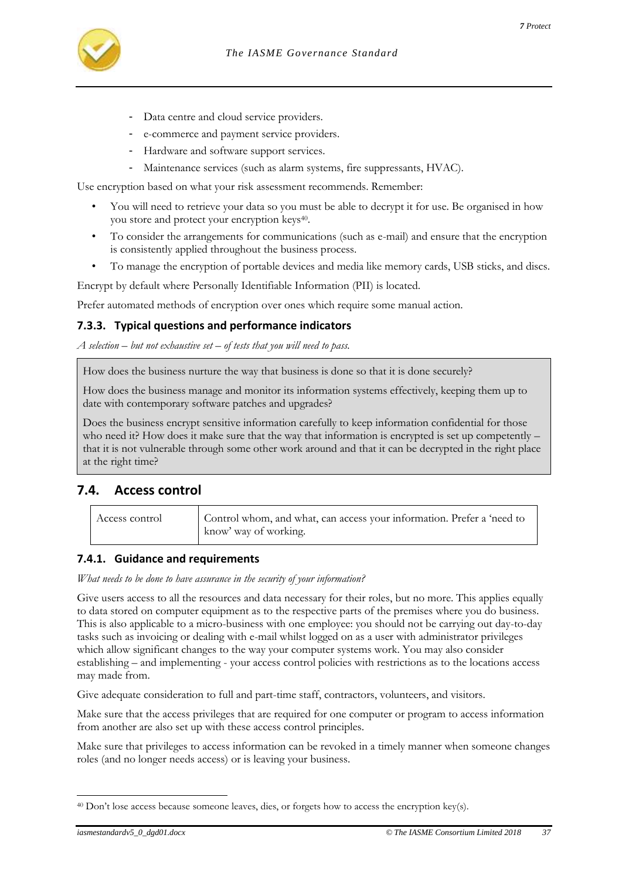- Data centre and cloud service providers.
- e-commerce and payment service providers.
- Hardware and software support services.
- Maintenance services (such as alarm systems, fire suppressants, HVAC).

Use encryption based on what your risk assessment recommends. Remember:

- You will need to retrieve your data so you must be able to decrypt it for use. Be organised in how you store and protect your encryption keys<sup>40</sup> .
- To consider the arrangements for communications (such as e-mail) and ensure that the encryption is consistently applied throughout the business process.
- To manage the encryption of portable devices and media like memory cards, USB sticks, and discs.

Encrypt by default where Personally Identifiable Information (PII) is located.

Prefer automated methods of encryption over ones which require some manual action.

# **7.3.3. Typical questions and performance indicators**

*A selection – but not exhaustive set – of tests that you will need to pass.*

How does the business nurture the way that business is done so that it is done securely?

How does the business manage and monitor its information systems effectively, keeping them up to date with contemporary software patches and upgrades?

Does the business encrypt sensitive information carefully to keep information confidential for those who need it? How does it make sure that the way that information is encrypted is set up competently – that it is not vulnerable through some other work around and that it can be decrypted in the right place at the right time?

# **7.4. Access control**

| Access control | Control whom, and what, can access your information. Prefer a 'need to<br>know' way of working. |
|----------------|-------------------------------------------------------------------------------------------------|
|----------------|-------------------------------------------------------------------------------------------------|

# **7.4.1. Guidance and requirements**

*What needs to be done to have assurance in the security of your information?*

Give users access to all the resources and data necessary for their roles, but no more. This applies equally to data stored on computer equipment as to the respective parts of the premises where you do business. This is also applicable to a micro-business with one employee: you should not be carrying out day-to-day tasks such as invoicing or dealing with e-mail whilst logged on as a user with administrator privileges which allow significant changes to the way your computer systems work. You may also consider establishing – and implementing - your access control policies with restrictions as to the locations access may made from.

Give adequate consideration to full and part-time staff, contractors, volunteers, and visitors.

Make sure that the access privileges that are required for one computer or program to access information from another are also set up with these access control principles.

Make sure that privileges to access information can be revoked in a timely manner when someone changes roles (and no longer needs access) or is leaving your business.

l  $40$  Don't lose access because someone leaves, dies, or forgets how to access the encryption key(s).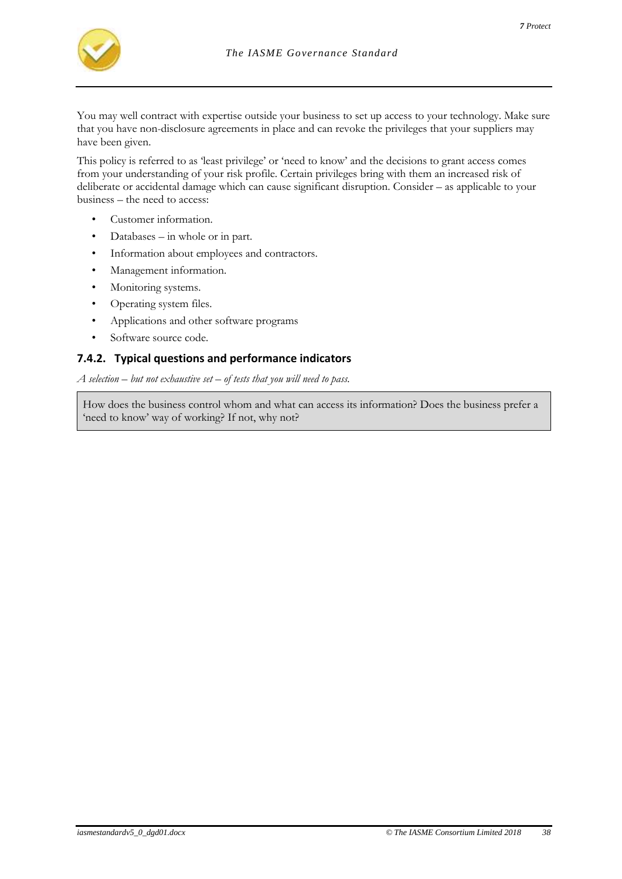

You may well contract with expertise outside your business to set up access to your technology. Make sure that you have non-disclosure agreements in place and can revoke the privileges that your suppliers may have been given.

This policy is referred to as 'least privilege' or 'need to know' and the decisions to grant access comes from your understanding of your risk profile. Certain privileges bring with them an increased risk of deliberate or accidental damage which can cause significant disruption. Consider – as applicable to your business – the need to access:

- Customer information.
- Databases in whole or in part.
- Information about employees and contractors.
- Management information.
- Monitoring systems.
- Operating system files.
- Applications and other software programs
- Software source code.

#### **7.4.2. Typical questions and performance indicators**

*A selection – but not exhaustive set – of tests that you will need to pass.*

How does the business control whom and what can access its information? Does the business prefer a 'need to know' way of working? If not, why not?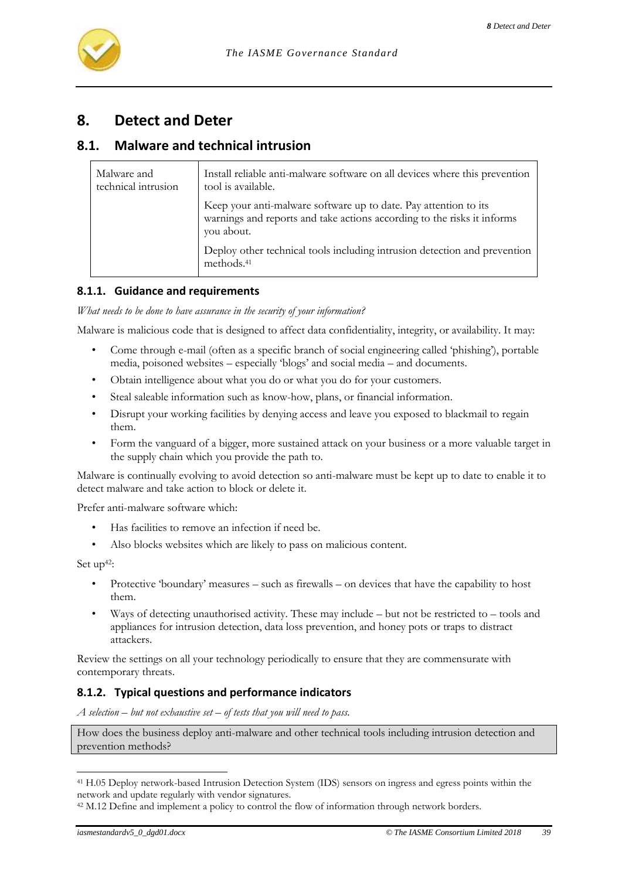# **8. Detect and Deter**

# **8.1. Malware and technical intrusion**

| Malware and<br>technical intrusion | Install reliable anti-malware software on all devices where this prevention<br>tool is available.                                                         |
|------------------------------------|-----------------------------------------------------------------------------------------------------------------------------------------------------------|
|                                    | Keep your anti-malware software up to date. Pay attention to its<br>warnings and reports and take actions according to the risks it informs<br>you about. |
|                                    | Deploy other technical tools including intrusion detection and prevention<br>methods. <sup>41</sup>                                                       |

#### **8.1.1. Guidance and requirements**

*What needs to be done to have assurance in the security of your information?*

Malware is malicious code that is designed to affect data confidentiality, integrity, or availability. It may:

- Come through e-mail (often as a specific branch of social engineering called 'phishing'), portable media, poisoned websites – especially 'blogs' and social media – and documents.
- Obtain intelligence about what you do or what you do for your customers.
- Steal saleable information such as know-how, plans, or financial information.
- Disrupt your working facilities by denying access and leave you exposed to blackmail to regain them.
- Form the vanguard of a bigger, more sustained attack on your business or a more valuable target in the supply chain which you provide the path to.

Malware is continually evolving to avoid detection so anti-malware must be kept up to date to enable it to detect malware and take action to block or delete it.

Prefer anti-malware software which:

- Has facilities to remove an infection if need be.
- Also blocks websites which are likely to pass on malicious content.

Set up<sup>42</sup>:

l

- Protective 'boundary' measures such as firewalls on devices that have the capability to host them.
- Ways of detecting unauthorised activity. These may include  $-$  but not be restricted to  $-$  tools and appliances for intrusion detection, data loss prevention, and honey pots or traps to distract attackers.

Review the settings on all your technology periodically to ensure that they are commensurate with contemporary threats.

# **8.1.2. Typical questions and performance indicators**

*A selection – but not exhaustive set – of tests that you will need to pass.*

How does the business deploy anti-malware and other technical tools including intrusion detection and prevention methods?

<sup>41</sup> H.05 Deploy network-based Intrusion Detection System (IDS) sensors on ingress and egress points within the network and update regularly with vendor signatures.

<sup>&</sup>lt;sup>42</sup> M.12 Define and implement a policy to control the flow of information through network borders.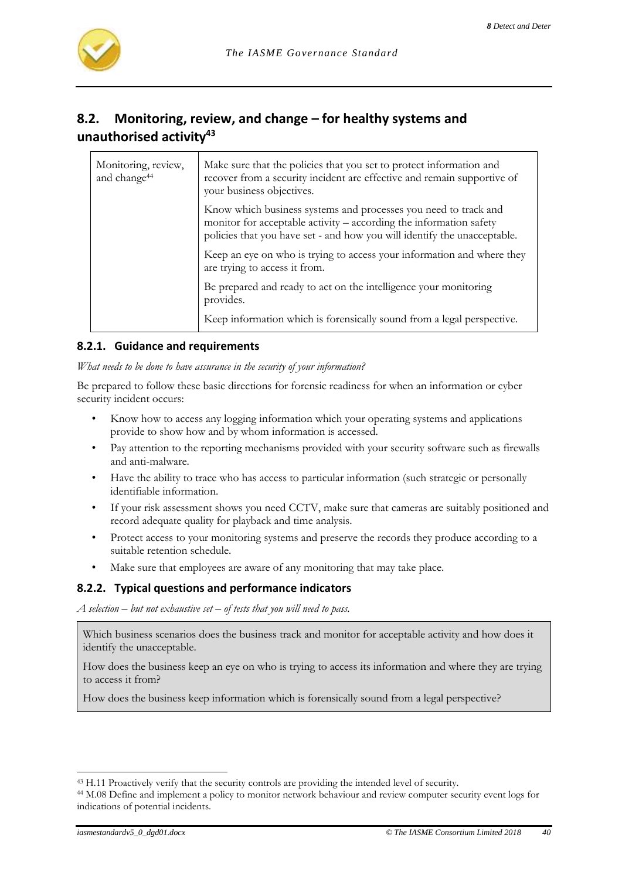

# <span id="page-39-0"></span>**8.2. Monitoring, review, and change – for healthy systems and unauthorised activity<sup>43</sup>**

| Monitoring, review,<br>and change <sup>44</sup> | Make sure that the policies that you set to protect information and<br>recover from a security incident are effective and remain supportive of<br>your business objectives.                                       |
|-------------------------------------------------|-------------------------------------------------------------------------------------------------------------------------------------------------------------------------------------------------------------------|
|                                                 | Know which business systems and processes you need to track and<br>monitor for acceptable activity - according the information safety<br>policies that you have set - and how you will identify the unacceptable. |
|                                                 | Keep an eye on who is trying to access your information and where they<br>are trying to access it from.                                                                                                           |
|                                                 | Be prepared and ready to act on the intelligence your monitoring<br>provides.                                                                                                                                     |
|                                                 | Keep information which is forensically sound from a legal perspective.                                                                                                                                            |

#### **8.2.1. Guidance and requirements**

*What needs to be done to have assurance in the security of your information?*

Be prepared to follow these basic directions for forensic readiness for when an information or cyber security incident occurs:

- Know how to access any logging information which your operating systems and applications provide to show how and by whom information is accessed.
- Pay attention to the reporting mechanisms provided with your security software such as firewalls and anti-malware.
- Have the ability to trace who has access to particular information (such strategic or personally identifiable information.
- If your risk assessment shows you need CCTV, make sure that cameras are suitably positioned and record adequate quality for playback and time analysis.
- Protect access to your monitoring systems and preserve the records they produce according to a suitable retention schedule.
- Make sure that employees are aware of any monitoring that may take place.

#### **8.2.2. Typical questions and performance indicators**

*A selection – but not exhaustive set – of tests that you will need to pass.*

Which business scenarios does the business track and monitor for acceptable activity and how does it identify the unacceptable.

How does the business keep an eye on who is trying to access its information and where they are trying to access it from?

How does the business keep information which is forensically sound from a legal perspective?

<sup>43</sup> H.11 Proactively verify that the security controls are providing the intended level of security.

<sup>44</sup> M.08 Define and implement a policy to monitor network behaviour and review computer security event logs for indications of potential incidents.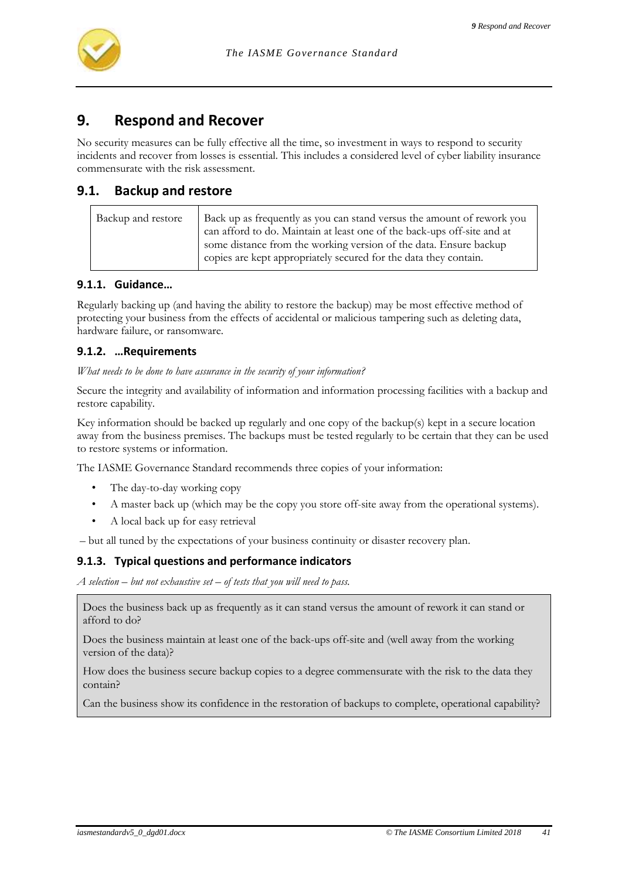# **9. Respond and Recover**

No security measures can be fully effective all the time, so investment in ways to respond to security incidents and recover from losses is essential. This includes a considered level of cyber liability insurance commensurate with the risk assessment.

# **9.1. Backup and restore**

| Backup and restore | Back up as frequently as you can stand versus the amount of rework you<br>can afford to do. Maintain at least one of the back-ups off-site and at<br>some distance from the working version of the data. Ensure backup<br>copies are kept appropriately secured for the data they contain. |
|--------------------|--------------------------------------------------------------------------------------------------------------------------------------------------------------------------------------------------------------------------------------------------------------------------------------------|
|--------------------|--------------------------------------------------------------------------------------------------------------------------------------------------------------------------------------------------------------------------------------------------------------------------------------------|

### **9.1.1. Guidance…**

Regularly backing up (and having the ability to restore the backup) may be most effective method of protecting your business from the effects of accidental or malicious tampering such as deleting data, hardware failure, or ransomware.

#### **9.1.2. …Requirements**

*What needs to be done to have assurance in the security of your information?*

Secure the integrity and availability of information and information processing facilities with a backup and restore capability.

Key information should be backed up regularly and one copy of the backup(s) kept in a secure location away from the business premises. The backups must be tested regularly to be certain that they can be used to restore systems or information.

The IASME Governance Standard recommends three copies of your information:

- The day-to-day working copy
- A master back up (which may be the copy you store off-site away from the operational systems).
- A local back up for easy retrieval

– but all tuned by the expectations of your business continuity or disaster recovery plan.

#### **9.1.3. Typical questions and performance indicators**

*A selection – but not exhaustive set – of tests that you will need to pass.*

Does the business back up as frequently as it can stand versus the amount of rework it can stand or afford to do?

Does the business maintain at least one of the back-ups off-site and (well away from the working version of the data)?

How does the business secure backup copies to a degree commensurate with the risk to the data they contain?

Can the business show its confidence in the restoration of backups to complete, operational capability?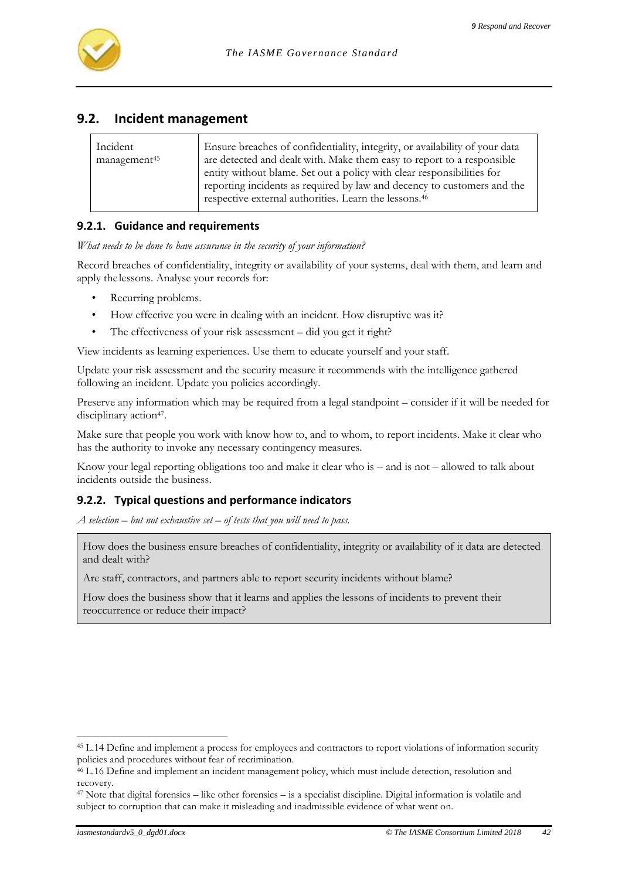# **9.2. Incident management**

| Incident<br>management <sup>45</sup> | Ensure breaches of confidentiality, integrity, or availability of your data<br>are detected and dealt with. Make them easy to report to a responsible<br>entity without blame. Set out a policy with clear responsibilities for<br>reporting incidents as required by law and decency to customers and the<br>respective external authorities. Learn the lessons. <sup>46</sup> |
|--------------------------------------|---------------------------------------------------------------------------------------------------------------------------------------------------------------------------------------------------------------------------------------------------------------------------------------------------------------------------------------------------------------------------------|
|                                      |                                                                                                                                                                                                                                                                                                                                                                                 |

### **9.2.1. Guidance and requirements**

*What needs to be done to have assurance in the security of your information?*

Record breaches of confidentiality, integrity or availability of your systems, deal with them, and learn and apply thelessons. Analyse your records for:

- Recurring problems.
- How effective you were in dealing with an incident. How disruptive was it?
- The effectiveness of your risk assessment did you get it right?

View incidents as learning experiences. Use them to educate yourself and your staff.

Update your risk assessment and the security measure it recommends with the intelligence gathered following an incident. Update you policies accordingly.

Preserve any information which may be required from a legal standpoint – consider if it will be needed for disciplinary action<sup>47</sup>.

Make sure that people you work with know how to, and to whom, to report incidents. Make it clear who has the authority to invoke any necessary contingency measures.

Know your legal reporting obligations too and make it clear who is – and is not – allowed to talk about incidents outside the business.

#### **9.2.2. Typical questions and performance indicators**

*A selection – but not exhaustive set – of tests that you will need to pass.*

How does the business ensure breaches of confidentiality, integrity or availability of it data are detected and dealt with?

Are staff, contractors, and partners able to report security incidents without blame?

How does the business show that it learns and applies the lessons of incidents to prevent their reoccurrence or reduce their impact?

l <sup>45</sup> L.14 Define and implement a process for employees and contractors to report violations of information security policies and procedures without fear of recrimination.

 $46$  L.16 Define and implement an incident management policy, which must include detection, resolution and recovery.

 $47$  Note that digital forensics – like other forensics – is a specialist discipline. Digital information is volatile and subject to corruption that can make it misleading and inadmissible evidence of what went on.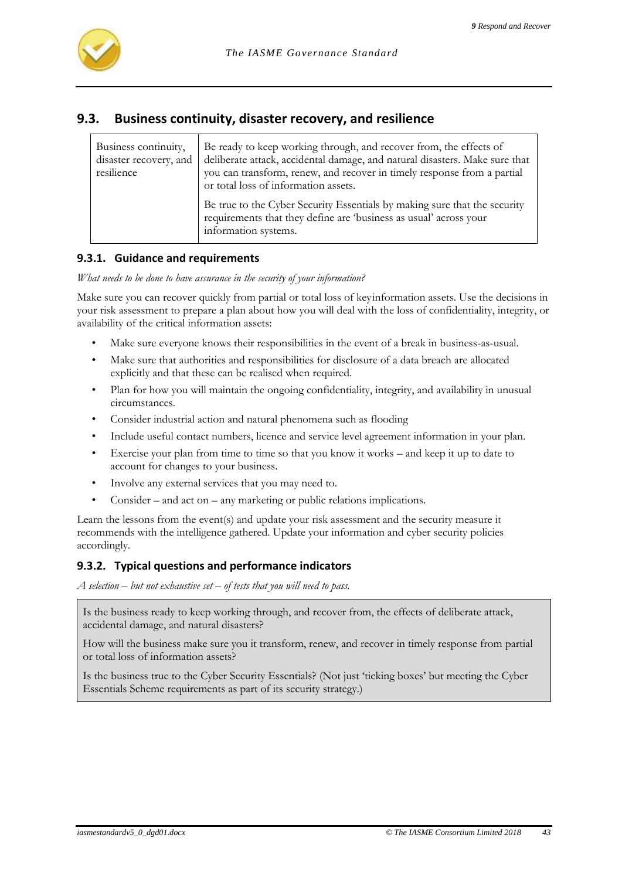

# **9.3. Business continuity, disaster recovery, and resilience**

| Business continuity,<br>disaster recovery, and<br>resilience | Be ready to keep working through, and recover from, the effects of<br>deliberate attack, accidental damage, and natural disasters. Make sure that<br>you can transform, renew, and recover in timely response from a partial<br>or total loss of information assets. |
|--------------------------------------------------------------|----------------------------------------------------------------------------------------------------------------------------------------------------------------------------------------------------------------------------------------------------------------------|
|                                                              | Be true to the Cyber Security Essentials by making sure that the security<br>requirements that they define are 'business as usual' across your<br>information systems.                                                                                               |

#### **9.3.1. Guidance and requirements**

*What needs to be done to have assurance in the security of your information?*

Make sure you can recover quickly from partial or total loss of keyinformation assets. Use the decisions in your risk assessment to prepare a plan about how you will deal with the loss of confidentiality, integrity, or availability of the critical information assets:

- Make sure everyone knows their responsibilities in the event of a break in business-as-usual.
- Make sure that authorities and responsibilities for disclosure of a data breach are allocated explicitly and that these can be realised when required.
- Plan for how you will maintain the ongoing confidentiality, integrity, and availability in unusual circumstances.
- Consider industrial action and natural phenomena such as flooding
- Include useful contact numbers, licence and service level agreement information in your plan.
- Exercise your plan from time to time so that you know it works and keep it up to date to account for changes to your business.
- Involve any external services that you may need to.
- Consider and act on any marketing or public relations implications.

Learn the lessons from the event(s) and update your risk assessment and the security measure it recommends with the intelligence gathered. Update your information and cyber security policies accordingly.

#### **9.3.2. Typical questions and performance indicators**

*A selection – but not exhaustive set – of tests that you will need to pass.*

Is the business ready to keep working through, and recover from, the effects of deliberate attack, accidental damage, and natural disasters?

How will the business make sure you it transform, renew, and recover in timely response from partial or total loss of information assets?

Is the business true to the Cyber Security Essentials? (Not just 'ticking boxes' but meeting the Cyber Essentials Scheme requirements as part of its security strategy.)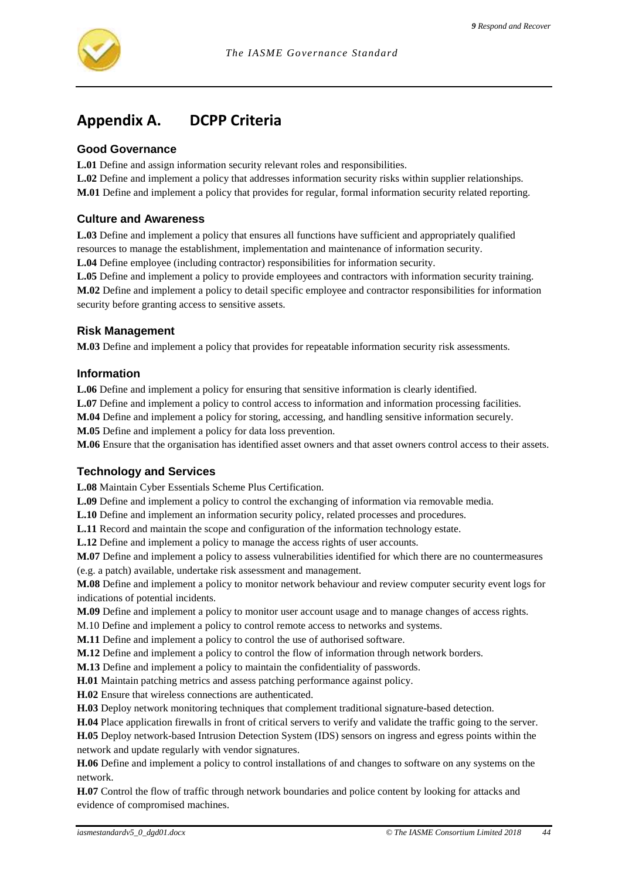

# **Appendix A. DCPP Criteria**

#### **Good Governance**

**L.01** Define and assign information security relevant roles and responsibilities.

**L.02** Define and implement a policy that addresses information security risks within supplier relationships. **M.01** Define and implement a policy that provides for regular, formal information security related reporting.

#### **Culture and Awareness**

**L.03** Define and implement a policy that ensures all functions have sufficient and appropriately qualified resources to manage the establishment, implementation and maintenance of information security.

**L.04** Define employee (including contractor) responsibilities for information security.

**L.05** Define and implement a policy to provide employees and contractors with information security training. **M.02** Define and implement a policy to detail specific employee and contractor responsibilities for information security before granting access to sensitive assets.

#### **Risk Management**

**M.03** Define and implement a policy that provides for repeatable information security risk assessments.

#### **Information**

**L.06** Define and implement a policy for ensuring that sensitive information is clearly identified.

**L.07** Define and implement a policy to control access to information and information processing facilities.

**M.04** Define and implement a policy for storing, accessing, and handling sensitive information securely.

**M.05** Define and implement a policy for data loss prevention.

**M.06** Ensure that the organisation has identified asset owners and that asset owners control access to their assets.

#### **Technology and Services**

**L.08** Maintain Cyber Essentials Scheme Plus Certification.

**L.09** Define and implement a policy to control the exchanging of information via removable media.

**L.10** Define and implement an information security policy, related processes and procedures.

**L.11** Record and maintain the scope and configuration of the information technology estate.

**L.12** Define and implement a policy to manage the access rights of user accounts.

**M.07** Define and implement a policy to assess vulnerabilities identified for which there are no countermeasures (e.g. a patch) available, undertake risk assessment and management.

**M.08** Define and implement a policy to monitor network behaviour and review computer security event logs for indications of potential incidents.

**M.09** Define and implement a policy to monitor user account usage and to manage changes of access rights.

M.10 Define and implement a policy to control remote access to networks and systems.

**M.11** Define and implement a policy to control the use of authorised software.

**M.12** Define and implement a policy to control the flow of information through network borders.

**M.13** Define and implement a policy to maintain the confidentiality of passwords.

**H.01** Maintain patching metrics and assess patching performance against policy.

**H.02** Ensure that wireless connections are authenticated.

**H.03** Deploy network monitoring techniques that complement traditional signature-based detection.

**H.04** Place application firewalls in front of critical servers to verify and validate the traffic going to the server.

**H.05** Deploy network-based Intrusion Detection System (IDS) sensors on ingress and egress points within the network and update regularly with vendor signatures.

**H.06** Define and implement a policy to control installations of and changes to software on any systems on the network.

**H.07** Control the flow of traffic through network boundaries and police content by looking for attacks and evidence of compromised machines.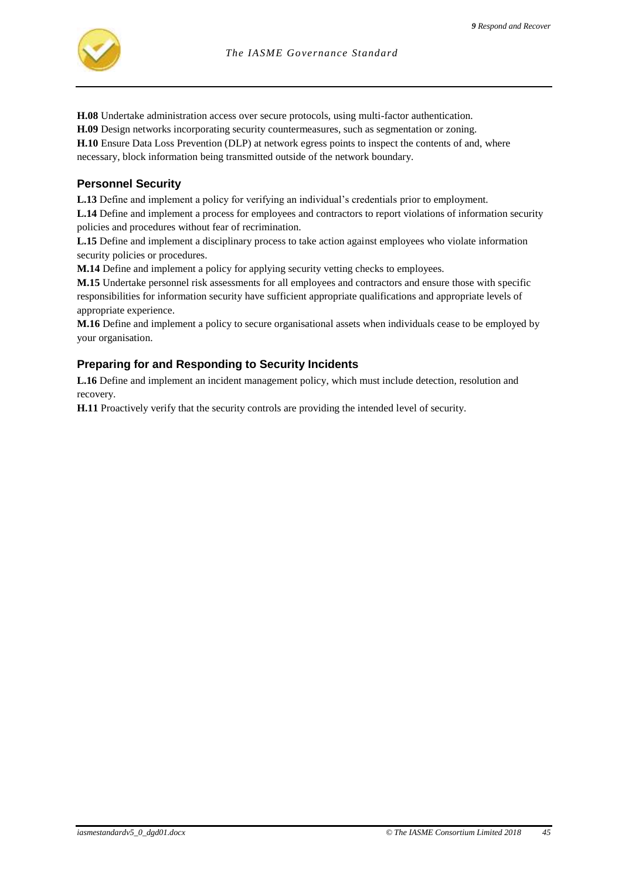

**H.08** Undertake administration access over secure protocols, using multi-factor authentication.

**H.09** Design networks incorporating security countermeasures, such as segmentation or zoning.

**H.10** Ensure Data Loss Prevention (DLP) at network egress points to inspect the contents of and, where necessary, block information being transmitted outside of the network boundary.

#### **Personnel Security**

**L.13** Define and implement a policy for verifying an individual's credentials prior to employment. **L.14** Define and implement a process for employees and contractors to report violations of information security policies and procedures without fear of recrimination.

**L.15** Define and implement a disciplinary process to take action against employees who violate information security policies or procedures.

**M.14** Define and implement a policy for applying security vetting checks to employees.

**M.15** Undertake personnel risk assessments for all employees and contractors and ensure those with specific responsibilities for information security have sufficient appropriate qualifications and appropriate levels of appropriate experience.

**M.16** Define and implement a policy to secure organisational assets when individuals cease to be employed by your organisation.

#### **Preparing for and Responding to Security Incidents**

**L.16** Define and implement an incident management policy, which must include detection, resolution and recovery.

**H.11** Proactively verify that the security controls are providing the intended level of security.